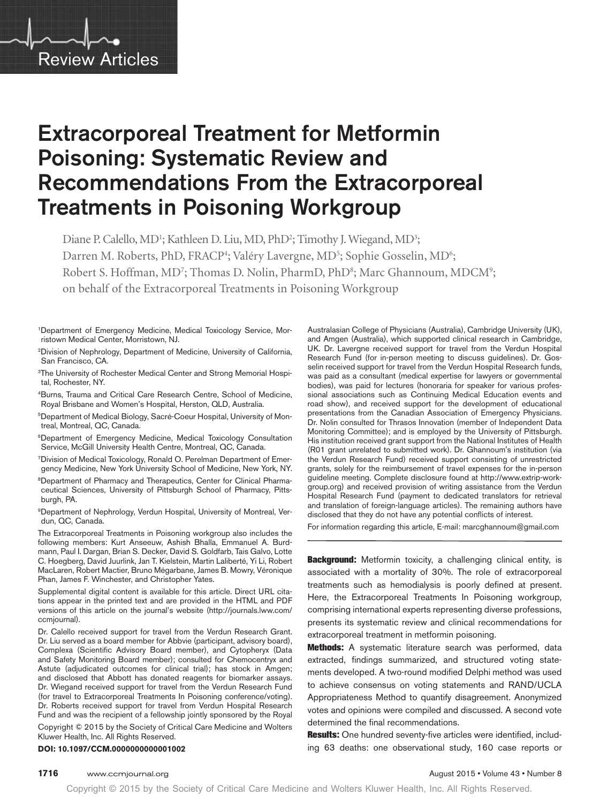

# Extracorporeal Treatment for Metformin Poisoning: Systematic Review and Recommendations From the Extracorporeal Treatments in Poisoning Workgroup

Diane P. Calello, MD<sup>1</sup>; Kathleen D. Liu, MD, PhD<sup>2</sup>; Timothy J. Wiegand, MD<sup>3</sup>; Darren M. Roberts, PhD, FRACP<sup>4</sup>; Valéry Lavergne, MD<sup>5</sup>; Sophie Gosselin, MD<sup>6</sup>; Robert S. Hoffman, MD<sup>7</sup>; Thomas D. Nolin, PharmD, PhD<sup>8</sup>; Marc Ghannoum, MDCM<sup>9</sup>; on behalf of the Extracorporeal Treatments in Poisoning Workgroup

<sup>1</sup>Department of Emergency Medicine, Medical Toxicology Service, Morristown Medical Center, Morristown, NJ.

<sup>2</sup>Division of Nephrology, Department of Medicine, University of California, San Francisco, CA.

<sup>3</sup>The University of Rochester Medical Center and Strong Memorial Hospital, Rochester, NY.

4Burns, Trauma and Critical Care Research Centre, School of Medicine, Royal Brisbane and Women's Hospital, Herston, QLD, Australia.

<sup>5</sup>Department of Medical Biology, Sacré-Coeur Hospital, University of Montreal, Montreal, QC, Canada.

6Department of Emergency Medicine, Medical Toxicology Consultation Service, McGill University Health Centre, Montreal, QC, Canada.

<sup>7</sup>Division of Medical Toxicology, Ronald O. Perelman Department of Emergency Medicine, New York University School of Medicine, New York, NY.

8Department of Pharmacy and Therapeutics, Center for Clinical Pharmaceutical Sciences, University of Pittsburgh School of Pharmacy, Pittsburgh, PA.

<sup>9</sup>Department of Nephrology, Verdun Hospital, University of Montreal, Verdun, QC, Canada.

The Extracorporeal Treatments in Poisoning workgroup also includes the following members: Kurt Anseeuw, Ashish Bhalla, Emmanuel A. Burdmann, Paul I. Dargan, Brian S. Decker, David S. Goldfarb, Tais Galvo, Lotte C. Hoegberg, David Juurlink, Jan T. Kielstein, Martin Laliberté, Yi Li, Robert MacLaren, Robert Mactier, Bruno Mégarbane, James B. Mowry, Véronique Phan, James F. Winchester, and Christopher Yates.

Supplemental digital content is available for this article. Direct URL citations appear in the printed text and are provided in the HTML and PDF versions of this article on the journal's website ([http://journals.lww.com/](http://journals.lww.com/ccmjournal) [ccmjournal](http://journals.lww.com/ccmjournal)).

Dr. Calello received support for travel from the Verdun Research Grant. Dr. Liu served as a board member for Abbvie (participant, advisory board), Complexa (Scientific Advisory Board member), and Cytopheryx (Data and Safety Monitoring Board member); consulted for Chemocentryx and Astute (adjudicated outcomes for clinical trial); has stock in Amgen; and disclosed that Abbott has donated reagents for biomarker assays. Dr. Wiegand received support for travel from the Verdun Research Fund (for travel to Extracorporeal Treatments In Poisoning conference/voting). Dr. Roberts received support for travel from Verdun Hospital Research Fund and was the recipient of a fellowship jointly sponsored by the Royal

Copyright © 2015 by the Society of Critical Care Medicine and Wolters Kluwer Health, Inc. All Rights Reserved.

**DOI: 10.1097/CCM.0000000000001002**

Australasian College of Physicians (Australia), Cambridge University (UK), and Amgen (Australia), which supported clinical research in Cambridge, UK. Dr. Lavergne received support for travel from the Verdun Hospital Research Fund (for in-person meeting to discuss guidelines). Dr. Gosselin received support for travel from the Verdun Hospital Research funds, was paid as a consultant (medical expertise for lawyers or governmental bodies), was paid for lectures (honoraria for speaker for various professional associations such as Continuing Medical Education events and road show), and received support for the development of educational presentations from the Canadian Association of Emergency Physicians. Dr. Nolin consulted for Thrasos Innovation (member of Independent Data Monitoring Committee); and is employed by the University of Pittsburgh. His institution received grant support from the National Institutes of Health (R01 grant unrelated to submitted work). Dr. Ghannoum's institution (via the Verdun Research Fund) received support consisting of unrestricted grants, solely for the reimbursement of travel expenses for the in-person guideline meeting. Complete disclosure found at [http://www.extrip-work](http://www.extrip-workgroup.org)[group.org](http://www.extrip-workgroup.org)) and received provision of writing assistance from the Verdun Hospital Research Fund (payment to dedicated translators for retrieval and translation of foreign-language articles). The remaining authors have disclosed that they do not have any potential conflicts of interest.

For information regarding this article, E-mail: [marcghannoum@gmail.com](mailto:marcghannoum@gmail.com)

Background: Metformin toxicity, a challenging clinical entity, is associated with a mortality of 30%. The role of extracorporeal treatments such as hemodialysis is poorly defined at present. Here, the Extracorporeal Treatments In Poisoning workgroup, comprising international experts representing diverse professions, presents its systematic review and clinical recommendations for extracorporeal treatment in metformin poisoning.

Methods: A systematic literature search was performed, data extracted, findings summarized, and structured voting statements developed. A two-round modified Delphi method was used to achieve consensus on voting statements and RAND/UCLA Appropriateness Method to quantify disagreement. Anonymized votes and opinions were compiled and discussed. A second vote determined the final recommendations.

Results: One hundred seventy-five articles were identified, including 63 deaths: one observational study, 160 case reports or

#### **1716** www.ccmjournal.org **August 2015 • Volume 43 • Number 8 August 2015 • Volume 43 • Number 8**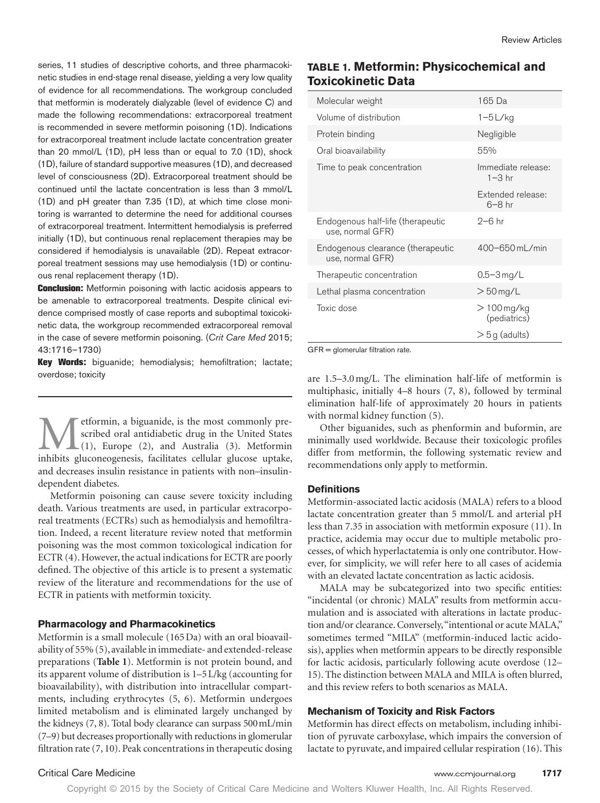series, 11 studies of descriptive cohorts, and three pharmacokinetic studies in end-stage renal disease, yielding a very low quality of evidence for all recommendations. The workgroup concluded that metformin is moderately dialyzable (level of evidence C) and made the following recommendations: extracorporeal treatment is recommended in severe metformin poisoning (1D). Indications for extracorporeal treatment include lactate concentration greater than 20 mmol/L (1D), pH less than or equal to 7.0 (1D), shock (1D), failure of standard supportive measures (1D), and decreased level of consciousness (2D). Extracorporeal treatment should be continued until the lactate concentration is less than 3 mmol/L (1D) and pH greater than 7.35 (1D), at which time close monitoring is warranted to determine the need for additional courses of extracorporeal treatment. Intermittent hemodialysis is preferred initially (1D), but continuous renal replacement therapies may be considered if hemodialysis is unavailable (2D). Repeat extracorporeal treatment sessions may use hemodialysis (1D) or continuous renal replacement therapy (1D).

**Conclusion:** Metformin poisoning with lactic acidosis appears to be amenable to extracorporeal treatments. Despite clinical evidence comprised mostly of case reports and suboptimal toxicokinetic data, the workgroup recommended extracorporeal removal in the case of severe metformin poisoning. (*Crit Care Med* 2015; 43:1716–1730)

Key Words: biguanide; hemodialysis; hemofiltration; lactate; overdose; toxicity

etformin, a biguanide, is the most commonly prescribed oral antidiabetic drug in the United States  $\Box(1)$ , Europe (2), and Australia (3). Metformin inhibits gluconeogenesis, facilitates cellular glucose uptake, and decreases insulin resistance in patients with non–insulindependent diabetes.

Metformin poisoning can cause severe toxicity including death. Various treatments are used, in particular extracorporeal treatments (ECTRs) such as hemodialysis and hemofiltration. Indeed, a recent literature review noted that metformin poisoning was the most common toxicological indication for ECTR (4). However, the actual indications for ECTR are poorly defined. The objective of this article is to present a systematic review of the literature and recommendations for the use of ECTR in patients with metformin toxicity.

#### **Pharmacology and Pharmacokinetics**

Metformin is a small molecule (165Da) with an oral bioavailability of 55% (5), available in immediate- and extended-release preparations (**Table 1**). Metformin is not protein bound, and its apparent volume of distribution is 1–5L/kg (accounting for bioavailability), with distribution into intracellular compartments, including erythrocytes (5, 6). Metformin undergoes limited metabolism and is eliminated largely unchanged by the kidneys (7, 8). Total body clearance can surpass 500mL/min (7–9) but decreases proportionally with reductions in glomerular filtration rate (7, 10). Peak concentrations in therapeutic dosing

# **Table 1. Metformin: Physicochemical and Toxicokinetic Data**

| Molecular weight                                      | 165 Da                          |
|-------------------------------------------------------|---------------------------------|
| Volume of distribution                                | $1-5$ L/kg                      |
| Protein binding                                       | Negligible                      |
| Oral bioavailability                                  | 55%                             |
| Time to peak concentration                            | Immediate release:<br>$1-3$ hr  |
|                                                       | Extended release:<br>$6 - 8$ hr |
| Endogenous half-life (therapeutic<br>use, normal GFR) | $2-6$ hr                        |
| Endogenous clearance (therapeutic<br>use, normal GFR) | 400-650 mL/min                  |
| Therapeutic concentration                             | $0.5 - 3$ mg/L                  |
| Lethal plasma concentration                           | $>$ 50 mg/L                     |
| Toxic dose                                            | $>100$ mg/kg<br>(pediatrics)    |
|                                                       | $>$ 5 g (adults)                |

GFR = glomerular filtration rate.

are 1.5–3.0mg/L. The elimination half-life of metformin is multiphasic, initially 4–8 hours (7, 8), followed by terminal elimination half-life of approximately 20 hours in patients with normal kidney function (5).

Other biguanides, such as phenformin and buformin, are minimally used worldwide. Because their toxicologic profiles differ from metformin, the following systematic review and recommendations only apply to metformin.

#### **Definitions**

Metformin-associated lactic acidosis (MALA) refers to a blood lactate concentration greater than 5 mmol/L and arterial pH less than 7.35 in association with metformin exposure (11). In practice, acidemia may occur due to multiple metabolic processes, of which hyperlactatemia is only one contributor. However, for simplicity, we will refer here to all cases of acidemia with an elevated lactate concentration as lactic acidosis.

MALA may be subcategorized into two specific entities: "incidental (or chronic) MALA" results from metformin accumulation and is associated with alterations in lactate production and/or clearance. Conversely, "intentional or acute MALA," sometimes termed "MILA" (metformin-induced lactic acidosis), applies when metformin appears to be directly responsible for lactic acidosis, particularly following acute overdose (12– 15). The distinction between MALA and MILA is often blurred, and this review refers to both scenarios as MALA.

### **Mechanism of Toxicity and Risk Factors**

Metformin has direct effects on metabolism, including inhibition of pyruvate carboxylase, which impairs the conversion of lactate to pyruvate, and impaired cellular respiration (16). This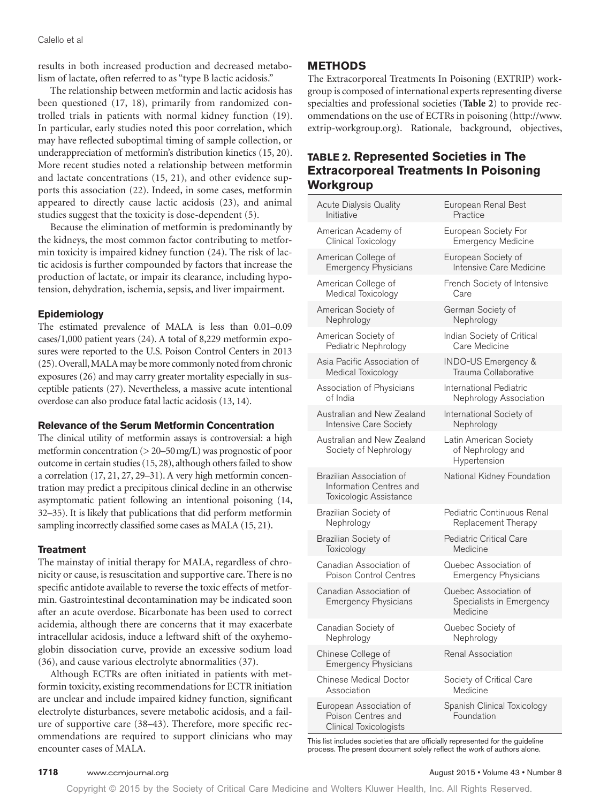results in both increased production and decreased metabolism of lactate, often referred to as "type B lactic acidosis."

The relationship between metformin and lactic acidosis has been questioned (17, 18), primarily from randomized controlled trials in patients with normal kidney function (19). In particular, early studies noted this poor correlation, which may have reflected suboptimal timing of sample collection, or underappreciation of metformin's distribution kinetics (15, 20). More recent studies noted a relationship between metformin and lactate concentrations (15, 21), and other evidence supports this association (22). Indeed, in some cases, metformin appeared to directly cause lactic acidosis (23), and animal studies suggest that the toxicity is dose-dependent (5).

Because the elimination of metformin is predominantly by the kidneys, the most common factor contributing to metformin toxicity is impaired kidney function (24). The risk of lactic acidosis is further compounded by factors that increase the production of lactate, or impair its clearance, including hypotension, dehydration, ischemia, sepsis, and liver impairment.

### **Epidemiology**

The estimated prevalence of MALA is less than 0.01–0.09 cases/1,000 patient years (24). A total of 8,229 metformin exposures were reported to the U.S. Poison Control Centers in 2013 (25). Overall, MALA may be more commonly noted from chronic exposures (26) and may carry greater mortality especially in susceptible patients (27). Nevertheless, a massive acute intentional overdose can also produce fatal lactic acidosis (13, 14).

#### **Relevance of the Serum Metformin Concentration**

The clinical utility of metformin assays is controversial: a high metformin concentration (> 20–50mg/L) was prognostic of poor outcome in certain studies (15, 28), although others failed to show a correlation (17, 21, 27, 29–31). A very high metformin concentration may predict a precipitous clinical decline in an otherwise asymptomatic patient following an intentional poisoning (14, 32–35). It is likely that publications that did perform metformin sampling incorrectly classified some cases as MALA (15, 21).

#### **Treatment**

The mainstay of initial therapy for MALA, regardless of chronicity or cause, is resuscitation and supportive care. There is no specific antidote available to reverse the toxic effects of metformin. Gastrointestinal decontamination may be indicated soon after an acute overdose. Bicarbonate has been used to correct acidemia, although there are concerns that it may exacerbate intracellular acidosis, induce a leftward shift of the oxyhemoglobin dissociation curve, provide an excessive sodium load (36), and cause various electrolyte abnormalities (37).

Although ECTRs are often initiated in patients with metformin toxicity, existing recommendations for ECTR initiation are unclear and include impaired kidney function, significant electrolyte disturbances, severe metabolic acidosis, and a failure of supportive care (38–43). Therefore, more specific recommendations are required to support clinicians who may encounter cases of MALA.

### **METHODS**

The Extracorporeal Treatments In Poisoning (EXTRIP) workgroup is composed of international experts representing diverse specialties and professional societies (**Table 2**) to provide recommendations on the use of ECTRs in poisoning ([http://www.](http://www.extrip-workgroup.org) [extrip-workgroup.org](http://www.extrip-workgroup.org)). Rationale, background, objectives,

# **Table 2. Represented Societies in The Extracorporeal Treatments In Poisoning Workgroup**

| Acute Dialysis Quality                                                         | European Renal Best                                           |
|--------------------------------------------------------------------------------|---------------------------------------------------------------|
| Initiative                                                                     | Practice                                                      |
| American Academy of                                                            | European Society For                                          |
| Clinical Toxicology                                                            | <b>Emergency Medicine</b>                                     |
| American College of                                                            | European Society of                                           |
| <b>Emergency Physicians</b>                                                    | Intensive Care Medicine                                       |
| American College of                                                            | French Society of Intensive                                   |
| Medical Toxicology                                                             | Care                                                          |
| American Society of                                                            | German Society of                                             |
| Nephrology                                                                     | Nephrology                                                    |
| American Society of                                                            | Indian Society of Critical                                    |
| Pediatric Nephrology                                                           | Care Medicine                                                 |
| Asia Pacific Association of                                                    | INDO-US Emergency &                                           |
| Medical Toxicology                                                             | Trauma Collaborative                                          |
| Association of Physicians                                                      | <b>International Pediatric</b>                                |
| of India                                                                       | Nephrology Association                                        |
| Australian and New Zealand                                                     | International Society of                                      |
| Intensive Care Society                                                         | Nephrology                                                    |
| Australian and New Zealand<br>Society of Nephrology                            | Latin American Society<br>of Nephrology and<br>Hypertension   |
| Brazilian Association of<br>Information Centres and<br>Toxicologic Assistance  | National Kidney Foundation                                    |
| Brazilian Society of                                                           | Pediatric Continuous Renal                                    |
| Nephrology                                                                     | Replacement Therapy                                           |
| Brazilian Society of                                                           | <b>Pediatric Critical Care</b>                                |
| Toxicology                                                                     | Medicine                                                      |
| Canadian Association of                                                        | Quebec Association of                                         |
| Poison Control Centres                                                         | <b>Emergency Physicians</b>                                   |
| Canadian Association of<br><b>Emergency Physicians</b>                         | Quebec Association of<br>Specialists in Emergency<br>Medicine |
| Canadian Society of                                                            | Quebec Society of                                             |
| Nephrology                                                                     | Nephrology                                                    |
| Chinese College of<br><b>Emergency Physicians</b>                              | <b>Renal Association</b>                                      |
| <b>Chinese Medical Doctor</b>                                                  | Society of Critical Care                                      |
| Association                                                                    | Medicine                                                      |
| European Association of<br>Poison Centres and<br><b>Clinical Toxicologists</b> | Spanish Clinical Toxicology<br>Foundation                     |

This list includes societies that are officially represented for the guideline process. The present document solely reflect the work of authors alone.

#### **1718** www.ccmjournal.org **August 2015** • Volume 43 • Number 8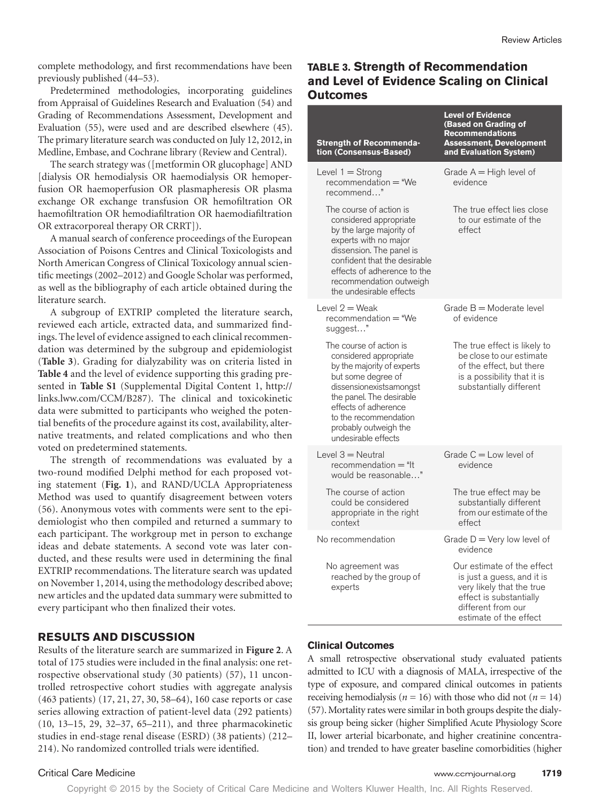complete methodology, and first recommendations have been previously published (44–53).

Predetermined methodologies, incorporating guidelines from Appraisal of Guidelines Research and Evaluation (54) and Grading of Recommendations Assessment, Development and Evaluation (55), were used and are described elsewhere (45). The primary literature search was conducted on July 12, 2012, in Medline, Embase, and Cochrane library (Review and Central).

The search strategy was ([metformin OR glucophage] AND [dialysis OR hemodialysis OR haemodialysis OR hemoperfusion OR haemoperfusion OR plasmapheresis OR plasma exchange OR exchange transfusion OR hemofiltration OR haemofiltration OR hemodiafiltration OR haemodiafiltration OR extracorporeal therapy OR CRRT]).

A manual search of conference proceedings of the European Association of Poisons Centres and Clinical Toxicologists and North American Congress of Clinical Toxicology annual scientific meetings (2002–2012) and Google Scholar was performed, as well as the bibliography of each article obtained during the literature search.

A subgroup of EXTRIP completed the literature search, reviewed each article, extracted data, and summarized findings. The level of evidence assigned to each clinical recommendation was determined by the subgroup and epidemiologist (**Table 3**). Grading for dialyzability was on criteria listed in **Table 4** and the level of evidence supporting this grading presented in **Table S1** (Supplemental Digital Content 1, [http://](http://links.lww.com/CCM/B287) [links.lww.com/CCM/B287\)](http://links.lww.com/CCM/B287). The clinical and toxicokinetic data were submitted to participants who weighed the potential benefits of the procedure against its cost, availability, alternative treatments, and related complications and who then voted on predetermined statements.

The strength of recommendations was evaluated by a two-round modified Delphi method for each proposed voting statement (**Fig. 1**), and RAND/UCLA Appropriateness Method was used to quantify disagreement between voters (56). Anonymous votes with comments were sent to the epidemiologist who then compiled and returned a summary to each participant. The workgroup met in person to exchange ideas and debate statements. A second vote was later conducted, and these results were used in determining the final EXTRIP recommendations. The literature search was updated on November 1, 2014, using the methodology described above; new articles and the updated data summary were submitted to every participant who then finalized their votes.

## **RESULTS AND DISCUSSION**

Results of the literature search are summarized in **Figure 2**. A total of 175 studies were included in the final analysis: one retrospective observational study (30 patients) (57), 11 uncontrolled retrospective cohort studies with aggregate analysis (463 patients) (17, 21, 27, 30, 58–64), 160 case reports or case series allowing extraction of patient-level data (292 patients) (10, 13–15, 29, 32–37, 65–211), and three pharmacokinetic studies in end-stage renal disease (ESRD) (38 patients) (212– 214). No randomized controlled trials were identified.

# **Table 3. Strength of Recommendation and Level of Evidence Scaling on Clinical Outcomes**

| <b>Strength of Recommenda-</b><br>tion (Consensus-Based)                                                                                                                                                                                                      | <b>Level of Evidence</b><br>(Based on Grading of<br><b>Recommendations</b><br><b>Assessment, Development</b><br>and Evaluation System)                           |
|---------------------------------------------------------------------------------------------------------------------------------------------------------------------------------------------------------------------------------------------------------------|------------------------------------------------------------------------------------------------------------------------------------------------------------------|
| Level $1 =$ Strong<br>$recommunication = "We$<br>recommend"                                                                                                                                                                                                   | Grade $A = High level of$<br>evidence                                                                                                                            |
| The course of action is<br>considered appropriate<br>by the large majority of<br>experts with no major<br>dissension. The panel is<br>confident that the desirable<br>effects of adherence to the<br>recommendation outweigh<br>the undesirable effects       | The true effect lies close<br>to our estimate of the<br>effect                                                                                                   |
| Level $2 =$ Weak<br>recommendation = "We<br>suggest"                                                                                                                                                                                                          | Grade $B =$ Moderate level<br>of evidence                                                                                                                        |
| The course of action is<br>considered appropriate<br>by the majority of experts<br>but some degree of<br>dissensionexistsamongst<br>the panel. The desirable<br>effects of adherence<br>to the recommendation<br>probably outweigh the<br>undesirable effects | The true effect is likely to<br>be close to our estimate<br>of the effect, but there<br>is a possibility that it is<br>substantially different                   |
| Level $3 =$ Neutral<br>$recommunication = "It$<br>would be reasonable"                                                                                                                                                                                        | Grade $C = Low$ level of<br>evidence                                                                                                                             |
| The course of action<br>could be considered<br>appropriate in the right<br>context                                                                                                                                                                            | The true effect may be<br>substantially different<br>from our estimate of the<br>effect                                                                          |
| No recommendation                                                                                                                                                                                                                                             | Grade $D = \text{Very}$ low level of<br>evidence                                                                                                                 |
| No agreement was<br>reached by the group of<br>experts                                                                                                                                                                                                        | Our estimate of the effect<br>is just a guess, and it is<br>very likely that the true<br>effect is substantially<br>different from our<br>estimate of the effect |

#### **Clinical Outcomes**

A small retrospective observational study evaluated patients admitted to ICU with a diagnosis of MALA, irrespective of the type of exposure, and compared clinical outcomes in patients receiving hemodialysis ( $n = 16$ ) with those who did not ( $n = 14$ ) (57). Mortality rates were similar in both groups despite the dialysis group being sicker (higher Simplified Acute Physiology Score II, lower arterial bicarbonate, and higher creatinine concentration) and trended to have greater baseline comorbidities (higher

#### Critical Care Medicine www.ccmjournal.org **1719**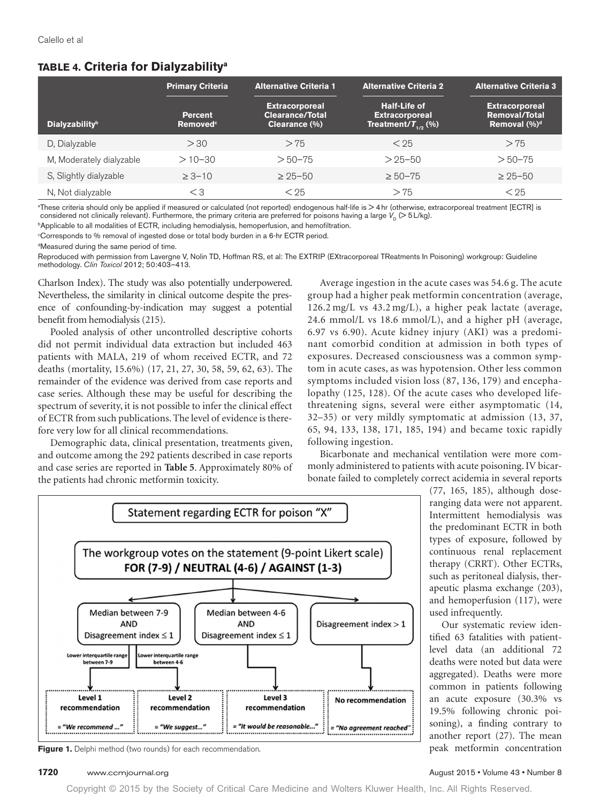# **Table 4. Criteria for Dialyzabilitya**

|                                   | <b>Primary Criteria</b>                       | <b>Alternative Criteria 1</b>                                    | <b>Alternative Criteria 2</b>                                            | <b>Alternative Criteria 3</b>                                     |
|-----------------------------------|-----------------------------------------------|------------------------------------------------------------------|--------------------------------------------------------------------------|-------------------------------------------------------------------|
| <b>Dialyzability</b> <sup>b</sup> | <b>Percent</b><br><b>Removed</b> <sup>c</sup> | <b>Extracorporeal</b><br><b>Clearance/Total</b><br>Clearance (%) | <b>Half-Life of</b><br><b>Extracorporeal</b><br>Treatment/ $T_{1/2}$ (%) | <b>Extracorporeal</b><br><b>Removal/Total</b><br>Removal $(\%)^d$ |
| D, Dialyzable                     | > 30                                          | > 75                                                             | < 25                                                                     | > 75                                                              |
| M, Moderately dialyzable          | $>10 - 30$                                    | $> 50 - 75$                                                      | $> 25 - 50$                                                              | $> 50 - 75$                                                       |
| S, Slightly dialyzable            | $\geq 3 - 10$                                 | $\geq 25 - 50$                                                   | $\geq 50 - 75$                                                           | $\geq 25 - 50$                                                    |
| N, Not dialyzable                 | $<$ 3                                         | < 25                                                             | > 75                                                                     | < 25                                                              |

a These criteria should only be applied if measured or calculated (not reported) endogenous half-life is > 4hr (otherwise, extracorporeal treatment [ECTR] is considered not clinically relevant). Furthermore, the primary criteria are preferred for poisons having a large  $V<sub>D</sub>$  (> 5 L/kg).

<sup>b</sup>Applicable to all modalities of ECTR, including hemodialysis, hemoperfusion, and hemofiltration.

c Corresponds to % removal of ingested dose or total body burden in a 6-hr ECTR period.

d Measured during the same period of time.

Reproduced with permission from Lavergne V, Nolin TD, Hoffman RS, et al: The EXTRIP (EXtracorporeal TReatments In Poisoning) workgroup: Guideline methodology. *Clin Toxicol* 2012; 50:403–413.

Charlson Index). The study was also potentially underpowered. Nevertheless, the similarity in clinical outcome despite the presence of confounding-by-indication may suggest a potential benefit from hemodialysis (215).

Pooled analysis of other uncontrolled descriptive cohorts did not permit individual data extraction but included 463 patients with MALA, 219 of whom received ECTR, and 72 deaths (mortality, 15.6%) (17, 21, 27, 30, 58, 59, 62, 63). The remainder of the evidence was derived from case reports and case series. Although these may be useful for describing the spectrum of severity, it is not possible to infer the clinical effect of ECTR from such publications. The level of evidence is therefore very low for all clinical recommendations.

Demographic data, clinical presentation, treatments given, and outcome among the 292 patients described in case reports and case series are reported in **Table 5**. Approximately 80% of the patients had chronic metformin toxicity.

Average ingestion in the acute cases was 54.6 g. The acute group had a higher peak metformin concentration (average, 126.2 mg/L vs 43.2 mg/L), a higher peak lactate (average, 24.6 mmol/L vs 18.6 mmol/L), and a higher pH (average, 6.97 vs 6.90). Acute kidney injury (AKI) was a predominant comorbid condition at admission in both types of exposures. Decreased consciousness was a common symptom in acute cases, as was hypotension. Other less common symptoms included vision loss (87, 136, 179) and encephalopathy (125, 128). Of the acute cases who developed lifethreatening signs, several were either asymptomatic (14, 32–35) or very mildly symptomatic at admission (13, 37, 65, 94, 133, 138, 171, 185, 194) and became toxic rapidly following ingestion.

Bicarbonate and mechanical ventilation were more commonly administered to patients with acute poisoning. IV bicarbonate failed to completely correct acidemia in several reports



**Figure 1.** Delphi method (two rounds) for each recommendation.

**1720** www.ccmjournal.org **August 2015 • Volume 43 • Number 8 August 2015 • Volume 43 • Number 8** 

(77, 165, 185), although doseranging data were not apparent. Intermittent hemodialysis was the predominant ECTR in both types of exposure, followed by continuous renal replacement therapy (CRRT). Other ECTRs, such as peritoneal dialysis, therapeutic plasma exchange (203), and hemoperfusion (117), were

Our systematic review identified 63 fatalities with patientlevel data (an additional 72 deaths were noted but data were aggregated). Deaths were more common in patients following an acute exposure (30.3% vs 19.5% following chronic poisoning), a finding contrary to another report (27). The mean peak metformin concentration

used infrequently.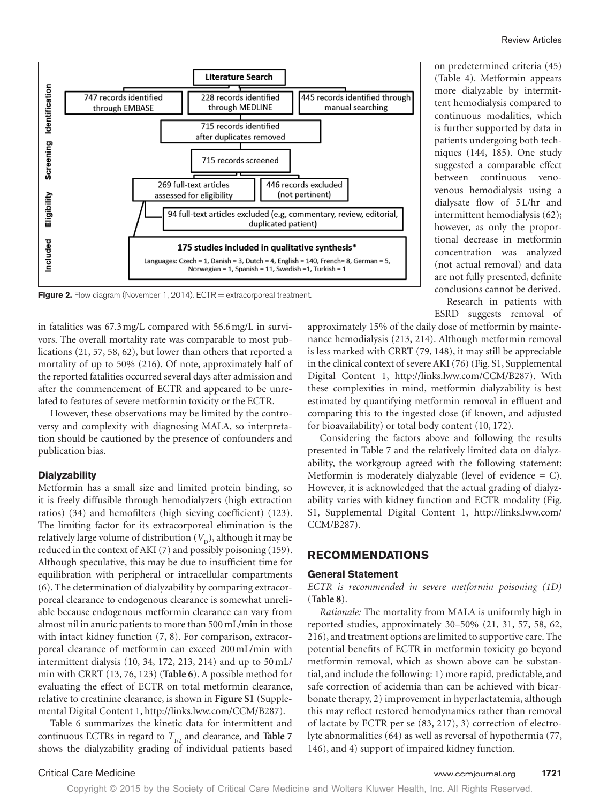

**Figure 2.** Flow diagram (November 1, 2014). ECTR = extracorporeal treatment.

in fatalities was 67.3mg/L compared with 56.6mg/L in survivors. The overall mortality rate was comparable to most publications (21, 57, 58, 62), but lower than others that reported a mortality of up to 50% (216). Of note, approximately half of the reported fatalities occurred several days after admission and after the commencement of ECTR and appeared to be unrelated to features of severe metformin toxicity or the ECTR.

However, these observations may be limited by the controversy and complexity with diagnosing MALA, so interpretation should be cautioned by the presence of confounders and publication bias.

#### **Dialyzability**

Metformin has a small size and limited protein binding, so it is freely diffusible through hemodialyzers (high extraction ratios) (34) and hemofilters (high sieving coefficient) (123). The limiting factor for its extracorporeal elimination is the relatively large volume of distribution  $(V<sub>D</sub>)$ , although it may be reduced in the context of AKI (7) and possibly poisoning (159). Although speculative, this may be due to insufficient time for equilibration with peripheral or intracellular compartments (6). The determination of dialyzability by comparing extracorporeal clearance to endogenous clearance is somewhat unreliable because endogenous metformin clearance can vary from almost nil in anuric patients to more than 500mL/min in those with intact kidney function  $(7, 8)$ . For comparison, extracorporeal clearance of metformin can exceed 200mL/min with intermittent dialysis (10, 34, 172, 213, 214) and up to 50mL/ min with CRRT (13, 76, 123) (**Table 6**). A possible method for evaluating the effect of ECTR on total metformin clearance, relative to creatinine clearance, is shown in **Figure S1** (Supplemental Digital Content 1,<http://links.lww.com/CCM/B287>).

Table 6 summarizes the kinetic data for intermittent and continuous ECTRs in regard to  $T_{1/2}$  and clearance, and **Table 7** shows the dialyzability grading of individual patients based

on predetermined criteria (45) (Table 4). Metformin appears more dialyzable by intermittent hemodialysis compared to continuous modalities, which is further supported by data in patients undergoing both techniques (144, 185). One study suggested a comparable effect between continuous venovenous hemodialysis using a dialysate flow of 5L/hr and intermittent hemodialysis (62); however, as only the proportional decrease in metformin concentration was analyzed (not actual removal) and data are not fully presented, definite conclusions cannot be derived. Research in patients with

ESRD suggests removal of

approximately 15% of the daily dose of metformin by maintenance hemodialysis (213, 214). Although metformin removal is less marked with CRRT (79, 148), it may still be appreciable in the clinical context of severe AKI (76) (Fig. S1, Supplemental Digital Content 1, <http://links.lww.com/CCM/B287>). With these complexities in mind, metformin dialyzability is best estimated by quantifying metformin removal in effluent and comparing this to the ingested dose (if known, and adjusted for bioavailability) or total body content (10, 172).

Considering the factors above and following the results presented in Table 7 and the relatively limited data on dialyzability, the workgroup agreed with the following statement: Metformin is moderately dialyzable (level of evidence  $= C$ ). However, it is acknowledged that the actual grading of dialyzability varies with kidney function and ECTR modality (Fig. S1, Supplemental Digital Content 1, [http://links.lww.com/](http://links.lww.com/CCM/B287) [CCM/B287\)](http://links.lww.com/CCM/B287).

### **RECOMMENDATIONS**

#### **General Statement**

### *ECTR is recommended in severe metformin poisoning (1D)* (**Table 8**).

*Rationale:* The mortality from MALA is uniformly high in reported studies, approximately 30–50% (21, 31, 57, 58, 62, 216), and treatment options are limited to supportive care. The potential benefits of ECTR in metformin toxicity go beyond metformin removal, which as shown above can be substantial, and include the following: 1) more rapid, predictable, and safe correction of acidemia than can be achieved with bicarbonate therapy, 2) improvement in hyperlactatemia, although this may reflect restored hemodynamics rather than removal of lactate by ECTR per se (83, 217), 3) correction of electrolyte abnormalities (64) as well as reversal of hypothermia (77, 146), and 4) support of impaired kidney function.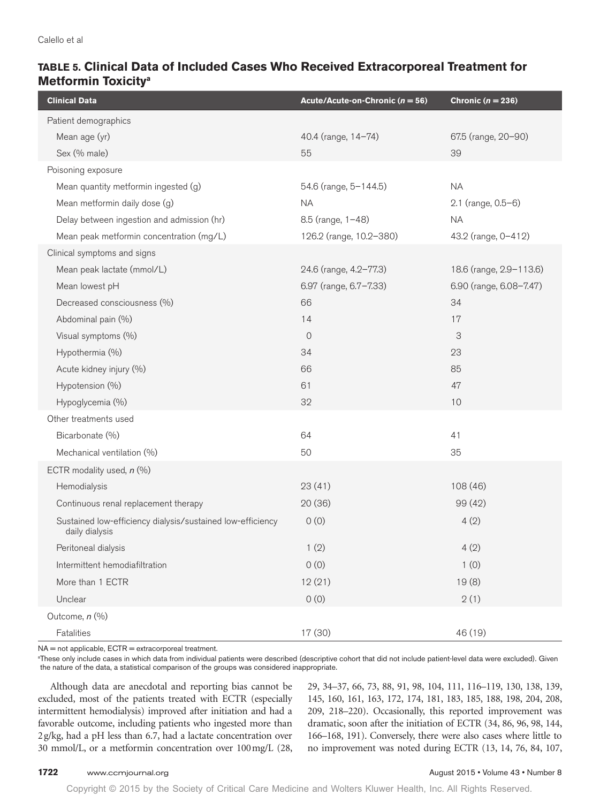# **Table 5. Clinical Data of Included Cases Who Received Extracorporeal Treatment for Metformin Toxicitya**

| <b>Clinical Data</b>                                                         | Acute/Acute-on-Chronic ( $n = 56$ ) | Chronic $(n = 236)$     |
|------------------------------------------------------------------------------|-------------------------------------|-------------------------|
| Patient demographics                                                         |                                     |                         |
| Mean age (yr)                                                                | 40.4 (range, 14-74)                 | 67.5 (range, 20-90)     |
| Sex (% male)                                                                 | 55                                  | 39                      |
| Poisoning exposure                                                           |                                     |                         |
| Mean quantity metformin ingested (g)                                         | 54.6 (range, 5-144.5)               | <b>NA</b>               |
| Mean metformin daily dose (g)                                                | <b>NA</b>                           | 2.1 (range, 0.5-6)      |
| Delay between ingestion and admission (hr)                                   | 8.5 (range, 1-48)                   | <b>NA</b>               |
| Mean peak metformin concentration (mg/L)                                     | 126.2 (range, 10.2-380)             | 43.2 (range, 0-412)     |
| Clinical symptoms and signs                                                  |                                     |                         |
| Mean peak lactate (mmol/L)                                                   | 24.6 (range, 4.2-77.3)              | 18.6 (range, 2.9-113.6) |
| Mean lowest pH                                                               | 6.97 (range, 6.7-7.33)              | 6.90 (range, 6.08-7.47) |
| Decreased consciousness (%)                                                  | 66                                  | 34                      |
| Abdominal pain (%)                                                           | 14                                  | 17                      |
| Visual symptoms (%)                                                          | $\overline{0}$                      | 3                       |
| Hypothermia (%)                                                              | 34                                  | 23                      |
| Acute kidney injury (%)                                                      | 66                                  | 85                      |
| Hypotension (%)                                                              | 61                                  | 47                      |
| Hypoglycemia (%)                                                             | 32                                  | 10                      |
| Other treatments used                                                        |                                     |                         |
| Bicarbonate (%)                                                              | 64                                  | 41                      |
| Mechanical ventilation (%)                                                   | 50                                  | 35                      |
| ECTR modality used, $n$ (%)                                                  |                                     |                         |
| Hemodialysis                                                                 | 23(41)                              | 108(46)                 |
| Continuous renal replacement therapy                                         | 20(36)                              | 99 (42)                 |
| Sustained low-efficiency dialysis/sustained low-efficiency<br>daily dialysis | 0(0)                                | 4(2)                    |
| Peritoneal dialysis                                                          | 1(2)                                | 4(2)                    |
| Intermittent hemodiafiltration                                               | 0(0)                                | 1(0)                    |
| More than 1 ECTR                                                             | 12(21)                              | 19(8)                   |
| Unclear                                                                      | 0(0)                                | 2(1)                    |
| Outcome, n (%)                                                               |                                     |                         |
| Fatalities                                                                   | 17 (30)                             | 46 (19)                 |

NA = not applicable, ECTR = extracorporeal treatment.

a These only include cases in which data from individual patients were described (descriptive cohort that did not include patient-level data were excluded). Given the nature of the data, a statistical comparison of the groups was considered inappropriate.

Although data are anecdotal and reporting bias cannot be excluded, most of the patients treated with ECTR (especially intermittent hemodialysis) improved after initiation and had a favorable outcome, including patients who ingested more than 2g/kg, had a pH less than 6.7, had a lactate concentration over 30 mmol/L, or a metformin concentration over 100mg/L (28, 29, 34–37, 66, 73, 88, 91, 98, 104, 111, 116–119, 130, 138, 139, 145, 160, 161, 163, 172, 174, 181, 183, 185, 188, 198, 204, 208, 209, 218–220). Occasionally, this reported improvement was dramatic, soon after the initiation of ECTR (34, 86, 96, 98, 144, 166–168, 191). Conversely, there were also cases where little to no improvement was noted during ECTR (13, 14, 76, 84, 107,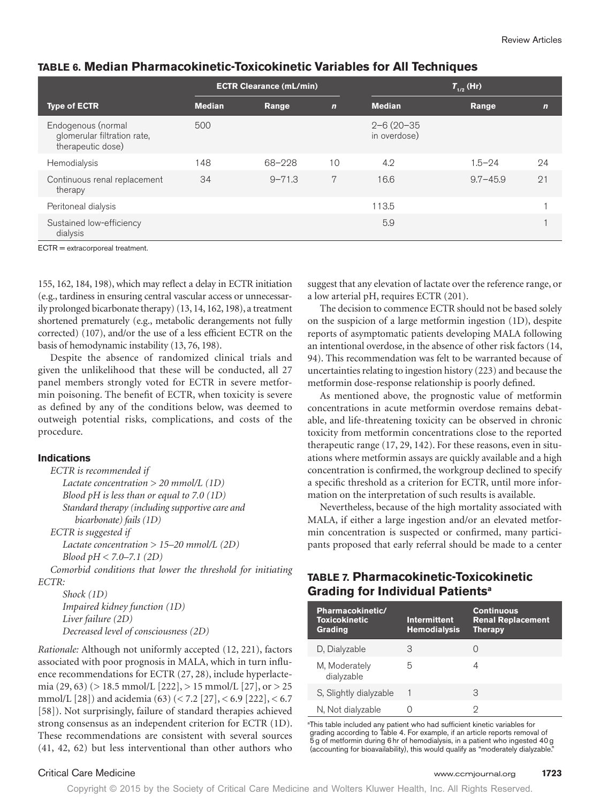|                                                                        | <b>ECTR Clearance (mL/min)</b> |            | $T_{1/2}$ (Hr) |                                  |              |             |
|------------------------------------------------------------------------|--------------------------------|------------|----------------|----------------------------------|--------------|-------------|
| <b>Type of ECTR</b>                                                    | <b>Median</b>                  | Range      | $\overline{ }$ | <b>Median</b>                    | Range        | $\mathbf n$ |
| Endogenous (normal<br>glomerular filtration rate,<br>therapeutic dose) | 500                            |            |                | $2 - 6(20 - 35)$<br>in overdose) |              |             |
| Hemodialysis                                                           | 148                            | 68-228     | 10             | 4.2                              | $1.5 - 24$   | 24          |
| Continuous renal replacement<br>therapy                                | 34                             | $9 - 71.3$ | 7              | 16.6                             | $9.7 - 45.9$ | 21          |
| Peritoneal dialysis                                                    |                                |            |                | 113.5                            |              |             |
| Sustained low-efficiency<br>dialysis                                   |                                |            |                | 5.9                              |              |             |

### **Table 6. Median Pharmacokinetic-Toxicokinetic Variables for All Techniques**

ECTR = extracorporeal treatment.

155, 162, 184, 198), which may reflect a delay in ECTR initiation (e.g., tardiness in ensuring central vascular access or unnecessarily prolonged bicarbonate therapy) (13, 14, 162, 198), a treatment shortened prematurely (e.g., metabolic derangements not fully corrected) (107), and/or the use of a less efficient ECTR on the basis of hemodynamic instability (13, 76, 198).

Despite the absence of randomized clinical trials and given the unlikelihood that these will be conducted, all 27 panel members strongly voted for ECTR in severe metformin poisoning. The benefit of ECTR, when toxicity is severe as defined by any of the conditions below, was deemed to outweigh potential risks, complications, and costs of the procedure.

### **Indications**

*ECTR is recommended if Lactate concentration* > *20 mmol/L (1D) Blood pH is less than or equal to 7.0 (1D) Standard therapy (including supportive care and bicarbonate) fails (1D) ECTR is suggested if*

*Lactate concentration* > *15–20 mmol/L (2D) Blood pH* < *7.0–7.1 (2D)*

*Comorbid conditions that lower the threshold for initiating ECTR:*

*Shock (1D) Impaired kidney function (1D) Liver failure (2D) Decreased level of consciousness (2D)*

*Rationale:* Although not uniformly accepted (12, 221), factors associated with poor prognosis in MALA, which in turn influence recommendations for ECTR (27, 28), include hyperlactemia (29, 63) (> 18.5 mmol/L [222], > 15 mmol/L [27], or > 25 mmol/L [28]) and acidemia (63) (< 7.2 [27], < 6.9 [222], < 6.7 [58]). Not surprisingly, failure of standard therapies achieved strong consensus as an independent criterion for ECTR (1D). These recommendations are consistent with several sources (41, 42, 62) but less interventional than other authors who

suggest that any elevation of lactate over the reference range, or a low arterial pH, requires ECTR (201).

The decision to commence ECTR should not be based solely on the suspicion of a large metformin ingestion (1D), despite reports of asymptomatic patients developing MALA following an intentional overdose, in the absence of other risk factors (14, 94). This recommendation was felt to be warranted because of uncertainties relating to ingestion history (223) and because the metformin dose-response relationship is poorly defined.

As mentioned above, the prognostic value of metformin concentrations in acute metformin overdose remains debatable, and life-threatening toxicity can be observed in chronic toxicity from metformin concentrations close to the reported therapeutic range (17, 29, 142). For these reasons, even in situations where metformin assays are quickly available and a high concentration is confirmed, the workgroup declined to specify a specific threshold as a criterion for ECTR, until more information on the interpretation of such results is available.

Nevertheless, because of the high mortality associated with MALA, if either a large ingestion and/or an elevated metformin concentration is suspected or confirmed, many participants proposed that early referral should be made to a center

# **Table 7. Pharmacokinetic-Toxicokinetic Grading for Individual Patientsa**

| Pharmacokinetic/<br><b>Toxicokinetic</b><br>Grading | <b>Intermittent</b><br><b>Hemodialysis</b> | <b>Continuous</b><br><b>Renal Replacement</b><br><b>Therapy</b> |
|-----------------------------------------------------|--------------------------------------------|-----------------------------------------------------------------|
| D, Dialyzable                                       | З                                          |                                                                 |
| M, Moderately<br>dialyzable                         | 5                                          | $\overline{4}$                                                  |
| S, Slightly dialyzable                              |                                            | З                                                               |
| N, Not dialyzable                                   |                                            | 9                                                               |

<sup>a</sup>This table included any patient who had sufficient kinetic variables for grading according to Table 4. For example, if an article reports removal of 5g of metformin during 6hr of hemodialysis, in a patient who ingested 40g (accounting for bioavailability), this would qualify as "moderately dialyzable

### Critical Care Medicine www.ccmjournal.org **1723**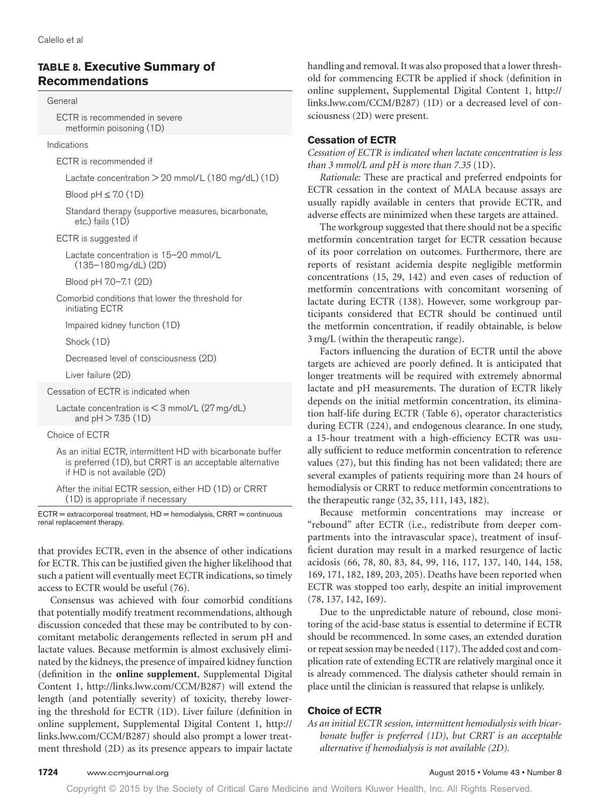# **Table 8. Executive Summary of Recommendations**

#### General

 ECTR is recommended in severe metformin poisoning (1D)

#### Indications

ECTR is recommended if

Lactate concentration > 20 mmol/L (180 mg/dL) (1D)

Blood  $pH \leq 7.0$  (1D)

 Standard therapy (supportive measures, bicarbonate, etc.) fails (1D)

ECTR is suggested if

 Lactate concentration is 15–20 mmol/L (135–180mg/dL) (2D)

Blood pH 7.0–7.1 (2D)

 Comorbid conditions that lower the threshold for initiating ECTR

Impaired kidney function (1D)

Shock (1D)

Decreased level of consciousness (2D)

Liver failure (2D)

Cessation of ECTR is indicated when

Lactate concentration is  $<$  3 mmol/L (27 mg/dL) and  $pH > 7.35$  (1D)

Choice of ECTR

 As an initial ECTR, intermittent HD with bicarbonate buffer is preferred (1D), but CRRT is an acceptable alternative if HD is not available (2D)

 After the initial ECTR session, either HD (1D) or CRRT (1D) is appropriate if necessary

 $ECTR = extracorpored treatment, HD = hemodialysis, CRRT = continuous$ renal replacement therapy.

that provides ECTR, even in the absence of other indications for ECTR. This can be justified given the higher likelihood that such a patient will eventually meet ECTR indications, so timely access to ECTR would be useful (76).

Consensus was achieved with four comorbid conditions that potentially modify treatment recommendations, although discussion conceded that these may be contributed to by concomitant metabolic derangements reflected in serum pH and lactate values. Because metformin is almost exclusively eliminated by the kidneys, the presence of impaired kidney function (definition in the **online supplement**, Supplemental Digital Content 1, [http://links.lww.com/CCM/B287\)](http://links.lww.com/CCM/B287) will extend the length (and potentially severity) of toxicity, thereby lowering the threshold for ECTR (1D). Liver failure (definition in online supplement, Supplemental Digital Content 1, [http://](http://links.lww.com/CCM/B287) [links.lww.com/CCM/B287\)](http://links.lww.com/CCM/B287) should also prompt a lower treatment threshold (2D) as its presence appears to impair lactate handling and removal. It was also proposed that a lower threshold for commencing ECTR be applied if shock (definition in online supplement, Supplemental Digital Content 1, [http://](http://links.lww.com/CCM/B287) [links.lww.com/CCM/B287\)](http://links.lww.com/CCM/B287) (1D) or a decreased level of consciousness (2D) were present.

### **Cessation of ECTR**

*Cessation of ECTR is indicated when lactate concentration is less than 3 mmol/L and pH is more than 7.35* (1D).

*Rationale:* These are practical and preferred endpoints for ECTR cessation in the context of MALA because assays are usually rapidly available in centers that provide ECTR, and adverse effects are minimized when these targets are attained.

The workgroup suggested that there should not be a specific metformin concentration target for ECTR cessation because of its poor correlation on outcomes. Furthermore, there are reports of resistant acidemia despite negligible metformin concentrations (15, 29, 142) and even cases of reduction of metformin concentrations with concomitant worsening of lactate during ECTR (138). However, some workgroup participants considered that ECTR should be continued until the metformin concentration, if readily obtainable, is below 3mg/L (within the therapeutic range).

Factors influencing the duration of ECTR until the above targets are achieved are poorly defined. It is anticipated that longer treatments will be required with extremely abnormal lactate and pH measurements. The duration of ECTR likely depends on the initial metformin concentration, its elimination half-life during ECTR (Table 6), operator characteristics during ECTR (224), and endogenous clearance. In one study, a 15-hour treatment with a high-efficiency ECTR was usually sufficient to reduce metformin concentration to reference values (27), but this finding has not been validated; there are several examples of patients requiring more than 24 hours of hemodialysis or CRRT to reduce metformin concentrations to the therapeutic range (32, 35, 111, 143, 182).

Because metformin concentrations may increase or "rebound" after ECTR (i.e., redistribute from deeper compartments into the intravascular space), treatment of insufficient duration may result in a marked resurgence of lactic acidosis (66, 78, 80, 83, 84, 99, 116, 117, 137, 140, 144, 158, 169, 171, 182, 189, 203, 205). Deaths have been reported when ECTR was stopped too early, despite an initial improvement (78, 137, 142, 169).

Due to the unpredictable nature of rebound, close monitoring of the acid-base status is essential to determine if ECTR should be recommenced. In some cases, an extended duration or repeat session may be needed (117). The added cost and complication rate of extending ECTR are relatively marginal once it is already commenced. The dialysis catheter should remain in place until the clinician is reassured that relapse is unlikely.

### **Choice of ECTR**

*As an initial ECTR session, intermittent hemodialysis with bicarbonate buffer is preferred (1D), but CRRT is an acceptable alternative if hemodialysis is not available (2D).*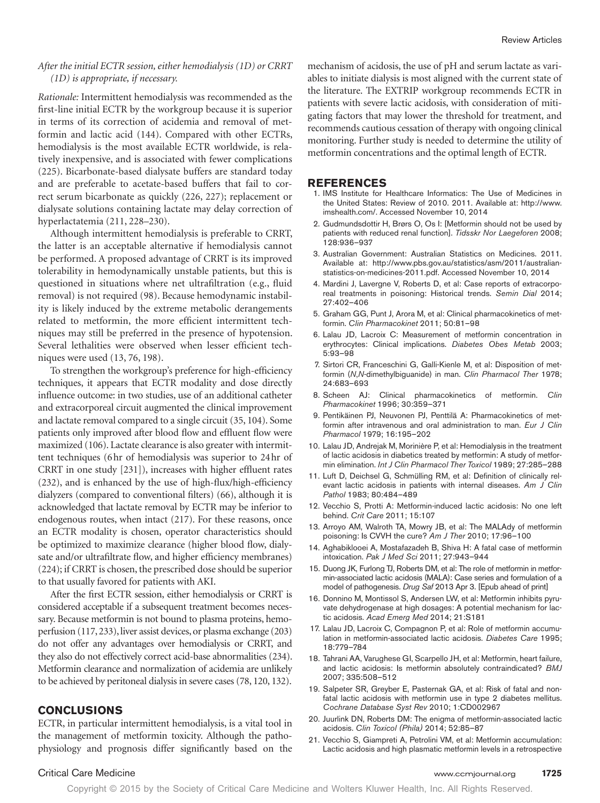### *After the initial ECTR session, either hemodialysis (1D) or CRRT (1D) is appropriate, if necessary.*

*Rationale:* Intermittent hemodialysis was recommended as the first-line initial ECTR by the workgroup because it is superior in terms of its correction of acidemia and removal of metformin and lactic acid (144). Compared with other ECTRs, hemodialysis is the most available ECTR worldwide, is relatively inexpensive, and is associated with fewer complications (225). Bicarbonate-based dialysate buffers are standard today and are preferable to acetate-based buffers that fail to correct serum bicarbonate as quickly (226, 227); replacement or dialysate solutions containing lactate may delay correction of hyperlactatemia (211, 228–230).

Although intermittent hemodialysis is preferable to CRRT, the latter is an acceptable alternative if hemodialysis cannot be performed. A proposed advantage of CRRT is its improved tolerability in hemodynamically unstable patients, but this is questioned in situations where net ultrafiltration (e.g., fluid removal) is not required (98). Because hemodynamic instability is likely induced by the extreme metabolic derangements related to metformin, the more efficient intermittent techniques may still be preferred in the presence of hypotension. Several lethalities were observed when lesser efficient techniques were used (13, 76, 198).

To strengthen the workgroup's preference for high-efficiency techniques, it appears that ECTR modality and dose directly influence outcome: in two studies, use of an additional catheter and extracorporeal circuit augmented the clinical improvement and lactate removal compared to a single circuit (35, 104). Some patients only improved after blood flow and effluent flow were maximized (106). Lactate clearance is also greater with intermittent techniques (6hr of hemodialysis was superior to 24hr of CRRT in one study [231]), increases with higher effluent rates (232), and is enhanced by the use of high-flux/high-efficiency dialyzers (compared to conventional filters) (66), although it is acknowledged that lactate removal by ECTR may be inferior to endogenous routes, when intact (217). For these reasons, once an ECTR modality is chosen, operator characteristics should be optimized to maximize clearance (higher blood flow, dialysate and/or ultrafiltrate flow, and higher efficiency membranes) (224); if CRRT is chosen, the prescribed dose should be superior to that usually favored for patients with AKI.

After the first ECTR session, either hemodialysis or CRRT is considered acceptable if a subsequent treatment becomes necessary. Because metformin is not bound to plasma proteins, hemoperfusion (117, 233), liver assist devices, or plasma exchange (203) do not offer any advantages over hemodialysis or CRRT, and they also do not effectively correct acid-base abnormalities (234). Metformin clearance and normalization of acidemia are unlikely to be achieved by peritoneal dialysis in severe cases (78, 120, 132).

### **CONCLUSIONS**

ECTR, in particular intermittent hemodialysis, is a vital tool in the management of metformin toxicity. Although the pathophysiology and prognosis differ significantly based on the mechanism of acidosis, the use of pH and serum lactate as variables to initiate dialysis is most aligned with the current state of the literature. The EXTRIP workgroup recommends ECTR in patients with severe lactic acidosis, with consideration of mitigating factors that may lower the threshold for treatment, and recommends cautious cessation of therapy with ongoing clinical monitoring. Further study is needed to determine the utility of metformin concentrations and the optimal length of ECTR.

#### **REFERENCES**

- 1. IMS Institute for Healthcare Informatics: The Use of Medicines in the United States: Review of 2010. 2011. Available at: [http://www.](http://www.imshealth.com/) [imshealth.com/](http://www.imshealth.com/). Accessed November 10, 2014
- 2. Gudmundsdottir H, Brørs O, Os I: [Metformin should not be used by patients with reduced renal function]. *Tidsskr Nor Laegeforen* 2008; 128:936–937
- 3. Australian Government: Australian Statistics on Medicines. 2011. Available at: [http://www.pbs.gov.au/statistics/asm/2011/australian](http://www.pbs.gov.au/statistics/asm/2011/australian-statistics-on-medicines-2011.pdf)[statistics-on-medicines-2011.pdf.](http://www.pbs.gov.au/statistics/asm/2011/australian-statistics-on-medicines-2011.pdf) Accessed November 10, 2014
- 4. Mardini J, Lavergne V, Roberts D, et al: Case reports of extracorporeal treatments in poisoning: Historical trends. *Semin Dial* 2014; 27:402–406
- 5. Graham GG, Punt J, Arora M, et al: Clinical pharmacokinetics of metformin. *Clin Pharmacokinet* 2011; 50:81–98
- 6. Lalau JD, Lacroix C: Measurement of metformin concentration in erythrocytes: Clinical implications. *Diabetes Obes Metab* 2003; 5:93–98
- 7. Sirtori CR, Franceschini G, Galli-Kienle M, et al: Disposition of metformin (*N*,*N*-dimethylbiguanide) in man. *Clin Pharmacol Ther* 1978; 24:683–693
- 8. Scheen AJ: Clinical pharmacokinetics of metformin. *Clin Pharmacokinet* 1996; 30:359–371
- 9. Pentikäinen PJ, Neuvonen PJ, Penttilä A: Pharmacokinetics of metformin after intravenous and oral administration to man. *Eur J Clin Pharmacol* 1979; 16:195–202
- 10. Lalau JD, Andrejak M, Morinière P, et al: Hemodialysis in the treatment of lactic acidosis in diabetics treated by metformin: A study of metformin elimination. *Int J Clin Pharmacol Ther Toxicol* 1989; 27:285–288
- 11. Luft D, Deichsel G, Schmülling RM, et al: Definition of clinically relevant lactic acidosis in patients with internal diseases. *Am J Clin Pathol* 1983; 80:484–489
- 12. Vecchio S, Protti A: Metformin-induced lactic acidosis: No one left behind. *Crit Care* 2011; 15:107
- 13. Arroyo AM, Walroth TA, Mowry JB, et al: The MALAdy of metformin poisoning: Is CVVH the cure? *Am J Ther* 2010; 17:96–100
- 14. Aghabiklooei A, Mostafazadeh B, Shiva H: A fatal case of metformin intoxication. *Pak J Med Sci* 2011; 27:943–944
- 15. Duong JK, Furlong TJ, Roberts DM, et al: The role of metformin in metformin-associated lactic acidosis (MALA): Case series and formulation of a model of pathogenesis. *Drug Saf* 2013 Apr 3. [Epub ahead of print]
- 16. Donnino M, Montissol S, Andersen LW, et al: Metformin inhibits pyruvate dehydrogenase at high dosages: A potential mechanism for lactic acidosis. *Acad Emerg Med* 2014; 21:S181
- 17. Lalau JD, Lacroix C, Compagnon P, et al: Role of metformin accumulation in metformin-associated lactic acidosis. *Diabetes Care* 1995; 18:779–784
- 18. Tahrani AA, Varughese GI, Scarpello JH, et al: Metformin, heart failure, and lactic acidosis: Is metformin absolutely contraindicated? *BMJ* 2007; 335:508–512
- 19. Salpeter SR, Greyber E, Pasternak GA, et al: Risk of fatal and nonfatal lactic acidosis with metformin use in type 2 diabetes mellitus. *Cochrane Database Syst Rev* 2010; 1:CD002967
- 20. Juurlink DN, Roberts DM: The enigma of metformin-associated lactic acidosis. *Clin Toxicol (Phila)* 2014; 52:85–87
- 21. Vecchio S, Giampreti A, Petrolini VM, et al: Metformin accumulation: Lactic acidosis and high plasmatic metformin levels in a retrospective

#### Critical Care Medicine www.ccmjournal.org **1725**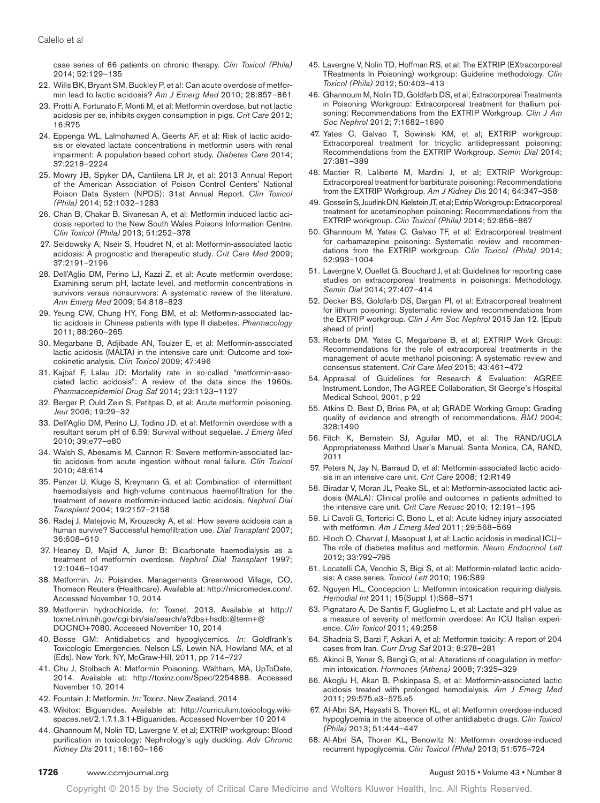case series of 66 patients on chronic therapy. *Clin Toxicol (Phila)* 2014; 52:129–135

- 22. Wills BK, Bryant SM, Buckley P, et al: Can acute overdose of metformin lead to lactic acidosis? *Am J Emerg Med* 2010; 28:857–861
- 23. Protti A, Fortunato F, Monti M, et al: Metformin overdose, but not lactic acidosis per se, inhibits oxygen consumption in pigs. *Crit Care* 2012; 16:R75
- 24. Eppenga WL, Lalmohamed A, Geerts AF, et al: Risk of lactic acidosis or elevated lactate concentrations in metformin users with renal impairment: A population-based cohort study. *Diabetes Care* 2014; 37:2218–2224
- 25. Mowry JB, Spyker DA, Cantilena LR Jr, et al: 2013 Annual Report of the American Association of Poison Control Centers' National Poison Data System (NPDS): 31st Annual Report. *Clin Toxicol (Phila)* 2014; 52:1032–1283
- 26. Chan B, Chakar B, Sivanesan A, et al: Metformin induced lactic acidosis reported to the New South Wales Poisons Information Centre. *Clin Toxicol (Phila)* 2013; 51:252–378
- 27. Seidowsky A, Nseir S, Houdret N, et al: Metformin-associated lactic acidosis: A prognostic and therapeutic study. *Crit Care Med* 2009; 37:2191–2196
- 28. Dell'Aglio DM, Perino LJ, Kazzi Z, et al: Acute metformin overdose: Examining serum pH, lactate level, and metformin concentrations in survivors versus nonsurvivors: A systematic review of the literature. *Ann Emerg Med* 2009; 54:818–823
- 29. Yeung CW, Chung HY, Fong BM, et al: Metformin-associated lactic acidosis in Chinese patients with type II diabetes. *Pharmacology* 2011; 88:260–265
- 30. Megarbane B, Adjibade AN, Touizer E, et al: Metformin-associated lactic acidosis (MALTA) in the intensive care unit: Outcome and toxicokinetic analysis. *Clin Toxicol* 2009; 47:496
- 31. Kajbaf F, Lalau JD: Mortality rate in so-called "metformin-associated lactic acidosis": A review of the data since the 1960s. *Pharmacoepidemiol Drug Saf* 2014; 23:1123–1127
- 32. Berger P, Ould Zein S, Petitpas D, et al: Acute metformin poisoning. *Jeur* 2006; 19:29–32
- 33. Dell'Aglio DM, Perino LJ, Todino JD, et al: Metformin overdose with a resultant serum pH of 6.59: Survival without sequelae. *J Emerg Med* 2010; 39:e77–e80
- 34. Walsh S, Abesamis M, Cannon R: Severe metformin-associated lactic acidosis from acute ingestion without renal failure. *Clin Toxicol* 2010; 48:614
- 35. Panzer U, Kluge S, Kreymann G, et al: Combination of intermittent haemodialysis and high-volume continuous haemofiltration for the treatment of severe metformin-induced lactic acidosis. *Nephrol Dial Transplant* 2004; 19:2157–2158
- 36. Radej J, Matejovic M, Krouzecky A, et al: How severe acidosis can a human survive? Successful hemofiltration use. *Dial Transplant* 2007; 36:608–610
- 37. Heaney D, Majid A, Junor B: Bicarbonate haemodialysis as a treatment of metformin overdose. *Nephrol Dial Transplant* 1997; 12:1046–1047
- 38. Metformin. *In:* Poisindex. Managements Greenwood Village, CO, Thomson Reuters (Healthcare). Available at: <http://micromedex.com/>. Accessed November 10, 2014
- 39. Metformin hydrochloride. *In:* Toxnet. 2013. Available at [http://](http://toxnet.nlm.nih.gov/cgi-bin/sis/search/a?dbs+hsdb:@term+@DOCNO+7080) [toxnet.nlm.nih.gov/cgi-bin/sis/search/a?dbs+hsdb:@term+@](http://toxnet.nlm.nih.gov/cgi-bin/sis/search/a?dbs+hsdb:@term+@DOCNO+7080) [DOCNO+7080.](http://toxnet.nlm.nih.gov/cgi-bin/sis/search/a?dbs+hsdb:@term+@DOCNO+7080) Accessed November 10, 2014
- 40. Bosse GM: Antidiabetics and hypoglycemics. *In:* Goldfrank's Toxicologic Emergencies. Nelson LS, Lewin NA, Howland MA, et al (Eds). New York, NY, McGraw-Hill, 2011, pp 714–727
- 41. Chu J, Stolbach A: Metformin Poisoning. Waltham, MA, UpToDate, 2014. Available at: [http://toxinz.com/Spec/2254888.](http://toxinz.com/Spec/2254888) Accessed November 10, 2014
- 42. Fountain J: Metformin. *In:* Toxinz. New Zealand, 2014
- 43. Wikitox: Biguanides. Available at: [http://curriculum.toxicology.wiki](http://curriculum.toxicology.wikispaces.net/2.1.7.1.3.1+Biguanides)[spaces.net/2.1.7.1.3.1+Biguanides](http://curriculum.toxicology.wikispaces.net/2.1.7.1.3.1+Biguanides). Accessed November 10 2014
- 44. Ghannoum M, Nolin TD, Lavergne V, et al; EXTRIP workgroup: Blood purification in toxicology: Nephrology's ugly duckling. *Adv Chronic Kidney Dis* 2011; 18:160–166
- 45. Lavergne V, Nolin TD, Hoffman RS, et al: The EXTRIP (EXtracorporeal TReatments In Poisoning) workgroup: Guideline methodology. *Clin Toxicol (Phila)* 2012; 50:403–413
- 46. Ghannoum M, Nolin TD, Goldfarb DS, et al; Extracorporeal Treatments in Poisoning Workgroup: Extracorporeal treatment for thallium poisoning: Recommendations from the EXTRIP Workgroup. *Clin J Am Soc Nephrol* 2012; 7:1682–1690
- 47. Yates C, Galvao T, Sowinski KM, et al; EXTRIP workgroup: Extracorporeal treatment for tricyclic antidepressant poisoning: Recommendations from the EXTRIP Workgroup. *Semin Dial* 2014; 27:381–389
- 48. Mactier R, Laliberté M, Mardini J, et al; EXTRIP Workgroup: Extracorporeal treatment for barbiturate poisoning: Recommendations from the EXTRIP Workgroup. *Am J Kidney Dis* 2014; 64:347–358
- 49. Gosselin S, Juurlink DN, Kielstein JT, et al; Extrip Workgroup: Extracorporeal treatment for acetaminophen poisoning: Recommendations from the EXTRIP workgroup. *Clin Toxicol (Phila)* 2014; 52:856–867
- 50. Ghannoum M, Yates C, Galvao TF, et al: Extracorporeal treatment for carbamazepine poisoning: Systematic review and recommendations from the EXTRIP workgroup. *Clin Toxicol (Phila)* 2014; 52:993–1004
- 51. Lavergne V, Ouellet G, Bouchard J, et al: Guidelines for reporting case studies on extracorporeal treatments in poisonings: Methodology. *Semin Dial* 2014; 27:407–414
- 52. Decker BS, Goldfarb DS, Dargan PI, et al: Extracorporeal treatment for lithium poisoning: Systematic review and recommendations from the EXTRIP workgroup. *Clin J Am Soc Nephrol* 2015 Jan 12. [Epub ahead of print]
- 53. Roberts DM, Yates C, Megarbane B, et al; EXTRIP Work Group: Recommendations for the role of extracorporeal treatments in the management of acute methanol poisoning: A systematic review and consensus statement. *Crit Care Med* 2015; 43:461–472
- 54. Appraisal of Guidelines for Research & Evaluation: AGREE Instrument. London, The AGREE Collaboration, St George's Hospital Medical School, 2001, p 22
- 55. Atkins D, Best D, Briss PA, et al; GRADE Working Group: Grading quality of evidence and strength of recommendations. *BMJ* 2004; 328:1490
- 56. Fitch K, Bernstein SJ, Aguilar MD, et al: The RAND/UCLA Appropriateness Method User's Manual. Santa Monica, CA, RAND, 2011
- 57. Peters N, Jay N, Barraud D, et al: Metformin-associated lactic acidosis in an intensive care unit. *Crit Care* 2008; 12:R149
- 58. Biradar V, Moran JL, Peake SL, et al: Metformin-associated lactic acidosis (MALA): Clinical profile and outcomes in patients admitted to the intensive care unit. *Crit Care Resusc* 2010; 12:191–195
- 59. Li Cavoli G, Tortorici C, Bono L, et al: Acute kidney injury associated with metformin. *Am J Emerg Med* 2011; 29:568–569
- 60. Hloch O, Charvat J, Masopust J, et al: Lactic acidosis in medical ICU— The role of diabetes mellitus and metformin. *Neuro Endocrinol Lett* 2012; 33:792–795
- 61. Locatelli CA, Vecchio S, Bigi S, et al: Metformin-related lactic acidosis: A case series. *Toxicol Lett* 2010; 196:S89
- 62. Nguyen HL, Concepcion L: Metformin intoxication requiring dialysis. *Hemodial Int* 2011; 15(Suppl 1):S68–S71
- 63. Pignataro A, De Santis F, Guglielmo L, et al: Lactate and pH value as a measure of severity of metformin overdose: An ICU Italian experience. *Clin Toxicol* 2011; 49:258
- 64. Shadnia S, Barzi F, Askari A, et al: Metformin toxicity: A report of 204 cases from Iran. *Curr Drug Saf* 2013; 8:278–281
- 65. Akinci B, Yener S, Bengi G, et al: Alterations of coagulation in metformin intoxication. *Hormones (Athens)* 2008; 7:325–329
- 66. Akoglu H, Akan B, Piskinpasa S, et al: Metformin-associated lactic acidosis treated with prolonged hemodialysis. *Am J Emerg Med* 2011; 29:575.e3–575.e5
- 67. Al-Abri SA, Hayashi S, Thoren KL, et al: Metformin overdose-induced hypoglycemia in the absence of other antidiabetic drugs. *Clin Toxicol (Phila)* 2013; 51:444–447
- 68. Al-Abri SA, Thoren KL, Benowitz N: Metformin overdose-induced recurrent hypoglycemia. *Clin Toxicol (Phila)* 2013; 51:575–724

#### **1726** www.ccmjournal.org **August 2015 • Volume 43 • Number 8 August 2015 • Volume 43 • Number 8**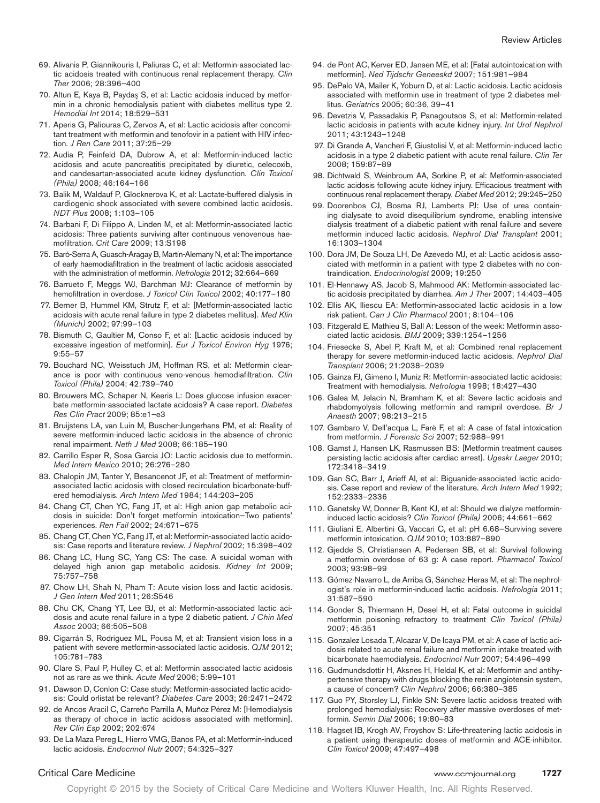- 69. Alivanis P, Giannikouris I, Paliuras C, et al: Metformin-associated lactic acidosis treated with continuous renal replacement therapy. *Clin Ther* 2006; 28:396–400
- 70. Altun E, Kaya B, Paydaş S, et al: Lactic acidosis induced by metformin in a chronic hemodialysis patient with diabetes mellitus type 2. *Hemodial Int* 2014; 18:529–531
- 71. Aperis G, Paliouras C, Zervos A, et al: Lactic acidosis after concomitant treatment with metformin and tenofovir in a patient with HIV infection. *J Ren Care* 2011; 37:25–29
- 72. Audia P, Feinfeld DA, Dubrow A, et al: Metformin-induced lactic acidosis and acute pancreatitis precipitated by diuretic, celecoxib, and candesartan-associated acute kidney dysfunction. *Clin Toxicol (Phila)* 2008; 46:164–166
- 73. Balik M, Waldauf P, Glocknerova K, et al: Lactate-buffered dialysis in cardiogenic shock associated with severe combined lactic acidosis. *NDT Plus* 2008; 1:103–105
- 74. Barbani F, Di Filippo A, Linden M, et al: Metformin-associated lactic acidosis: Three patients surviving after continuous venovenous haemofiltration. *Crit Care* 2009; 13:S198
- 75. Baró-Serra A, Guasch-Aragay B, Martín-Alemany N, et al: The importance of early haemodiafiltration in the treatment of lactic acidosis associated with the administration of metformin. *Nefrologia* 2012; 32:664–669
- 76. Barrueto F, Meggs WJ, Barchman MJ: Clearance of metformin by hemofiltration in overdose. *J Toxicol Clin Toxicol* 2002; 40:177–180
- 77. Berner B, Hummel KM, Strutz F, et al: [Metformin-associated lactic acidosis with acute renal failure in type 2 diabetes mellitus]. *Med Klin (Munich)* 2002; 97:99–103
- 78. Bismuth C, Gaultier M, Conso F, et al: [Lactic acidosis induced by excessive ingestion of metformin]. *Eur J Toxicol Environ Hyg* 1976; 9:55–57
- 79. Bouchard NC, Weisstuch JM, Hoffman RS, et al: Metformin clearance is poor with continuous veno-venous hemodiafiltration. *Clin Toxicol (Phila)* 2004; 42:739–740
- 80. Brouwers MC, Schaper N, Keeris L: Does glucose infusion exacerbate metformin-associated lactate acidosis? A case report. *Diabetes Res Clin Pract* 2009; 85:e1–e3
- 81. Bruijstens LA, van Luin M, Buscher-Jungerhans PM, et al: Reality of severe metformin-induced lactic acidosis in the absence of chronic renal impairment. *Neth J Med* 2008; 66:185–190
- 82. Carrillo Esper R, Sosa Garcia JO: Lactic acidosis due to metformin. *Med Intern Mexico* 2010; 26:276–280
- 83. Chalopin JM, Tanter Y, Besancenot JF, et al: Treatment of metforminassociated lactic acidosis with closed recirculation bicarbonate-buffered hemodialysis. *Arch Intern Med* 1984; 144:203–205
- 84. Chang CT, Chen YC, Fang JT, et al: High anion gap metabolic acidosis in suicide: Don't forget metformin intoxication—Two patients' experiences. *Ren Fail* 2002; 24:671–675
- 85. Chang CT, Chen YC, Fang JT, et al: Metformin-associated lactic acidosis: Case reports and literature review. *J Nephrol* 2002; 15:398–402
- 86. Chang LC, Hung SC, Yang CS: The case. A suicidal woman with delayed high anion gap metabolic acidosis. *Kidney Int* 2009; 75:757–758
- 87. Chow LH, Shah N, Pham T: Acute vision loss and lactic acidosis. *J Gen Intern Med* 2011; 26:S546
- 88. Chu CK, Chang YT, Lee BJ, et al: Metformin-associated lactic acidosis and acute renal failure in a type 2 diabetic patient. *J Chin Med Assoc* 2003; 66:505–508
- 89. Cigarrán S, Rodriguez ML, Pousa M, et al: Transient vision loss in a patient with severe metformin-associated lactic acidosis. *QJM* 2012; 105:781–783
- 90. Clare S, Paul P, Hulley C, et al: Metformin associated lactic acidosis not as rare as we think. *Acute Med* 2006; 5:99–101
- 91. Dawson D, Conlon C: Case study: Metformin-associated lactic acidosis: Could orlistat be relevant? *Diabetes Care* 2003; 26:2471–2472
- 92. de Ancos Aracil C, Carreño Parrilla A, Muñoz Pérez M: [Hemodialysis as therapy of choice in lactic acidosis associated with metformin]. *Rev Clin Esp* 2002; 202:674
- 93. De La Maza Pereg L, Hierro VMG, Banos PA, et al: Metformin-induced lactic acidosis. *Endocrinol Nutr* 2007; 54:325–327
- 94. de Pont AC, Kerver ED, Jansen ME, et al: [Fatal autointoxication with metformin]. *Ned Tijdschr Geneeskd* 2007; 151:981–984
- 95. DePalo VA, Mailer K, Yoburn D, et al: Lactic acidosis. Lactic acidosis associated with metformin use in treatment of type 2 diabetes mellitus. *Geriatrics* 2005; 60:36, 39–41
- 96. Devetzis V, Passadakis P, Panagoutsos S, et al: Metformin-related lactic acidosis in patients with acute kidney injury. *Int Urol Nephrol* 2011; 43:1243–1248
- 97. Di Grande A, Vancheri F, Giustolisi V, et al: Metformin-induced lactic acidosis in a type 2 diabetic patient with acute renal failure. *Clin Ter* 2008; 159:87–89
- 98. Dichtwald S, Weinbroum AA, Sorkine P, et al: Metformin-associated lactic acidosis following acute kidney injury. Efficacious treatment with continuous renal replacement therapy. *Diabet Med* 2012; 29:245–250
- 99. Doorenbos CJ, Bosma RJ, Lamberts PJ: Use of urea containing dialysate to avoid disequilibrium syndrome, enabling intensive dialysis treatment of a diabetic patient with renal failure and severe metformin induced lactic acidosis. *Nephrol Dial Transplant* 2001; 16:1303–1304
- 100. Dora JM, De Souza LH, De Azevedo MJ, et al: Lactic acidosis associated with metformin in a patient with type 2 diabetes with no contraindication. *Endocrinologist* 2009; 19:250
- 101. El-Hennawy AS, Jacob S, Mahmood AK: Metformin-associated lactic acidosis precipitated by diarrhea. *Am J Ther* 2007; 14:403–405
- 102. Ellis AK, Iliescu EA: Metformin-associated lactic acidosis in a low risk patient. *Can J Clin Pharmacol* 2001; 8:104–106
- 103. Fitzgerald E, Mathieu S, Ball A: Lesson of the week: Metformin associated lactic acidosis. *BMJ* 2009; 339:1254–1256
- 104. Friesecke S, Abel P, Kraft M, et al: Combined renal replacement therapy for severe metformin-induced lactic acidosis. *Nephrol Dial Transplant* 2006; 21:2038–2039
- 105. Gainza FJ, Gimeno I, Muniz R: Metformin-associated lactic acidosis: Treatment with hemodialysis. *Nefrologia* 1998; 18:427–430
- 106. Galea M, Jelacin N, Bramham K, et al: Severe lactic acidosis and rhabdomyolysis following metformin and ramipril overdose. *Br J Anaesth* 2007; 98:213–215
- 107. Gambaro V, Dell'acqua L, Farè F, et al: A case of fatal intoxication from metformin. *J Forensic Sci* 2007; 52:988–991
- 108. Gamst J, Hansen LK, Rasmussen BS: [Metformin treatment causes persisting lactic acidosis after cardiac arrest]. *Ugeskr Laeger* 2010; 172:3418–3419
- 109. Gan SC, Barr J, Arieff AI, et al: Biguanide-associated lactic acidosis. Case report and review of the literature. *Arch Intern Med* 1992; 152:2333–2336
- 110. Ganetsky W, Donner B, Kent KJ, et al: Should we dialyze metformininduced lactic acidosis? *Clin Toxicol (Phila)* 2006; 44:661–662
- 111. Giuliani E, Albertini G, Vaccari C, et al: pH 6.68-Surviving severe metformin intoxication. *QJM* 2010; 103:887–890
- 112. Gjedde S, Christiansen A, Pedersen SB, et al: Survival following a metformin overdose of 63 g: A case report. *Pharmacol Toxicol* 2003; 93:98–99
- 113. Gómez-Navarro L, de Arriba G, Sánchez-Heras M, et al: The nephrologist's role in metformin-induced lactic acidosis. *Nefrologia* 2011; 31:587–590
- 114. Gonder S, Thiermann H, Desel H, et al: Fatal outcome in suicidal metformin poisoning refractory to treatment *Clin Toxicol (Phila)* 2007; 45:351
- 115. Gonzalez Losada T, Alcazar V, De Icaya PM, et al: A case of lactic acidosis related to acute renal failure and metformin intake treated with bicarbonate haemodialysis. *Endocrinol Nutr* 2007; 54:496–499
- 116. Gudmundsdottir H, Aksnes H, Heldal K, et al: Metformin and antihypertensive therapy with drugs blocking the renin angiotensin system, a cause of concern? *Clin Nephrol* 2006; 66:380–385
- 117. Guo PY, Storsley LJ, Finkle SN: Severe lactic acidosis treated with prolonged hemodialysis: Recovery after massive overdoses of metformin. *Semin Dial* 2006; 19:80–83
- 118. Hagset IB, Krogh AV, Froyshov S: Life-threatening lactic acidosis in a patient using therapeutic doses of metformin and ACE-inhibitor. *Clin Toxicol* 2009; 47:497–498

#### Critical Care Medicine www.ccmjournal.org **1727**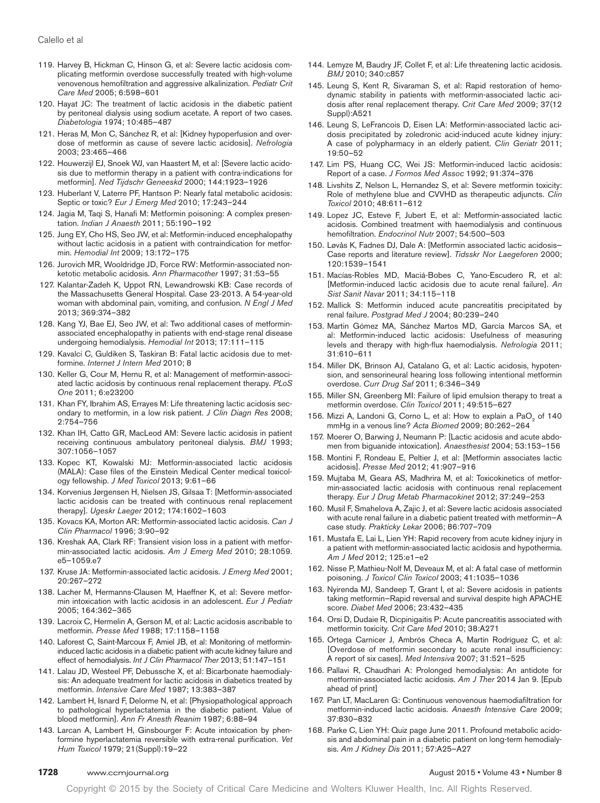- 119. Harvey B, Hickman C, Hinson G, et al: Severe lactic acidosis complicating metformin overdose successfully treated with high-volume venovenous hemofiltration and aggressive alkalinization. *Pediatr Crit Care Med* 2005; 6:598–601
- 120. Hayat JC: The treatment of lactic acidosis in the diabetic patient by peritoneal dialysis using sodium acetate. A report of two cases. *Diabetologia* 1974; 10:485–487
- 121. Heras M, Mon C, Sánchez R, et al: [Kidney hypoperfusion and overdose of metformin as cause of severe lactic acidosis]. *Nefrologia* 2003; 23:465–466
- 122. Houwerzijl EJ, Snoek WJ, van Haastert M, et al: [Severe lactic acidosis due to metformin therapy in a patient with contra-indications for metformin]. *Ned Tijdschr Geneeskd* 2000; 144:1923–1926
- 123. Huberlant V, Laterre PF, Hantson P: Nearly fatal metabolic acidosis: Septic or toxic? *Eur J Emerg Med* 2010; 17:243–244
- 124. Jagia M, Taqi S, Hanafi M: Metformin poisoning: A complex presentation. *Indian J Anaesth* 2011; 55:190–192
- 125. Jung EY, Cho HS, Seo JW, et al: Metformin-induced encephalopathy without lactic acidosis in a patient with contraindication for metformin. *Hemodial Int* 2009; 13:172–175
- 126. Jurovich MR, Wooldridge JD, Force RW: Metformin-associated nonketotic metabolic acidosis. *Ann Pharmacother* 1997; 31:53–55
- 127. Kalantar-Zadeh K, Uppot RN, Lewandrowski KB: Case records of the Massachusetts General Hospital. Case 23-2013. A 54-year-old woman with abdominal pain, vomiting, and confusion. *N Engl J Med* 2013; 369:374–382
- 128. Kang YJ, Bae EJ, Seo JW, et al: Two additional cases of metforminassociated encephalopathy in patients with end-stage renal disease undergoing hemodialysis. *Hemodial Int* 2013; 17:111–115
- 129. Kavalci C, Guldiken S, Taskiran B: Fatal lactic acidosis due to metformine. *Internet J Intern Med* 2010; 8
- 130. Keller G, Cour M, Hernu R, et al: Management of metformin-associated lactic acidosis by continuous renal replacement therapy. *PLoS One* 2011; 6:e23200
- 131. Khan FY, Ibrahim AS, Errayes M: Life threatening lactic acidosis secondary to metformin, in a low risk patient. *J Clin Diagn Res* 2008; 2:754–756
- 132. Khan IH, Catto GR, MacLeod AM: Severe lactic acidosis in patient receiving continuous ambulatory peritoneal dialysis. *BMJ* 1993; 307:1056–1057
- 133. Kopec KT, Kowalski MJ: Metformin-associated lactic acidosis (MALA): Case files of the Einstein Medical Center medical toxicology fellowship. *J Med Toxicol* 2013; 9:61–66
- 134. Korvenius Jørgensen H, Nielsen JS, Gilsaa T: [Metformin-associated lactic acidosis can be treated with continuous renal replacement therapy]. *Ugeskr Laeger* 2012; 174:1602–1603
- 135. Kovacs KA, Morton AR: Metformin-associated lactic acidosis. *Can J Clin Pharmacol* 1996; 3:90–92
- 136. Kreshak AA, Clark RF: Transient vision loss in a patient with metformin-associated lactic acidosis. *Am J Emerg Med* 2010; 28:1059. e5–1059.e7
- 137. Kruse JA: Metformin-associated lactic acidosis. *J Emerg Med* 2001; 20:267–272
- 138. Lacher M, Hermanns-Clausen M, Haeffner K, et al: Severe metformin intoxication with lactic acidosis in an adolescent. *Eur J Pediatr* 2005; 164:362–365
- 139. Lacroix C, Hermelin A, Gerson M, et al: Lactic acidosis ascribable to metformin. *Presse Med* 1988; 17:1158–1158
- 140. Laforest C, Saint-Marcoux F, Amiel JB, et al: Monitoring of metformininduced lactic acidosis in a diabetic patient with acute kidney failure and effect of hemodialysis. *Int J Clin Pharmacol Ther* 2013; 51:147–151
- 141. Lalau JD, Westeel PF, Debussche X, et al: Bicarbonate haemodialysis: An adequate treatment for lactic acidosis in diabetics treated by metformin. *Intensive Care Med* 1987; 13:383–387
- 142. Lambert H, Isnard F, Delorme N, et al: [Physiopathological approach to pathological hyperlactatemia in the diabetic patient. Value of blood metformin]. *Ann Fr Anesth Reanim* 1987; 6:88–94
- 143. Larcan A, Lambert H, Ginsbourger F: Acute intoxication by phenformine hyperlactatemia reversible with extra-renal purification. *Vet Hum Toxicol* 1979; 21(Suppl):19–22
- 144. Lemyze M, Baudry JF, Collet F, et al: Life threatening lactic acidosis. *BMJ* 2010; 340:c857
- 145. Leung S, Kent R, Sivaraman S, et al: Rapid restoration of hemodynamic stability in patients with metformin-associated lactic acidosis after renal replacement therapy. *Crit Care Med* 2009; 37(12 Suppl):A521
- 146. Leung S, LeFrancois D, Eisen LA: Metformin-associated lactic acidosis precipitated by zoledronic acid-induced acute kidney injury: A case of polypharmacy in an elderly patient. *Clin Geriatr* 2011; 19:50–52
- 147. Lim PS, Huang CC, Wei JS: Metformin-induced lactic acidosis: Report of a case. *J Formos Med Assoc* 1992; 91:374–376
- 148. Livshits Z, Nelson L, Hernandez S, et al: Severe metformin toxicity: Role of methylene blue and CVVHD as therapeutic adjuncts. *Clin Toxicol* 2010; 48:611–612
- 149. Lopez JC, Esteve F, Jubert E, et al: Metformin-associated lactic acidosis. Combined treatment with haemodialysis and continuous hemofiltration. *Endocrinol Nutr* 2007; 54:500–503
- 150. Løvås K, Fadnes DJ, Dale A: [Metformin associated lactic acidosis-Case reports and literature review]. *Tidsskr Nor Laegeforen* 2000; 120:1539–1541
- 151. Macías-Robles MD, Maciá-Bobes C, Yano-Escudero R, et al: [Metformin-induced lactic acidosis due to acute renal failure]. *An Sist Sanit Navar* 2011; 34:115–118
- 152. Mallick S: Metformin induced acute pancreatitis precipitated by renal failure. *Postgrad Med J* 2004; 80:239–240
- 153. Martin Gómez MA, Sánchez Martos MD, García Marcos SA, et al: Metformin-induced lactic acidosis: Usefulness of measuring levels and therapy with high-flux haemodialysis. *Nefrologia* 2011; 31:610–611
- 154. Miller DK, Brinson AJ, Catalano G, et al: Lactic acidosis, hypotension, and sensorineural hearing loss following intentional metformin overdose. *Curr Drug Saf* 2011; 6:346–349
- 155. Miller SN, Greenberg MI: Failure of lipid emulsion therapy to treat a metformin overdose. *Clin Toxicol* 2011; 49:515–627
- 156. Mizzi A, Landoni G, Corno L, et al: How to explain a PaO<sub>2</sub> of 140 mmHg in a venous line? *Acta Biomed* 2009; 80:262–264
- 157. Moerer O, Barwing J, Neumann P: [Lactic acidosis and acute abdomen from biguanide intoxication]. *Anaesthesist* 2004; 53:153–156
- 158. Montini F, Rondeau E, Peltier J, et al: [Metformin associates lactic acidosis]. *Presse Med* 2012; 41:907–916
- 159. Mujtaba M, Geara AS, Madhrira M, et al: Toxicokinetics of metformin-associated lactic acidosis with continuous renal replacement therapy. *Eur J Drug Metab Pharmacokinet* 2012; 37:249–253
- 160. Musil F, Smahelova A, Zajic J, et al: Severe lactic acidosis associated with acute renal failure in a diabetic patient treated with metformin—A case study. *Prakticky Lekar* 2006; 86:707–709
- 161. Mustafa E, Lai L, Lien YH: Rapid recovery from acute kidney injury in a patient with metformin-associated lactic acidosis and hypothermia. *Am J Med* 2012; 125:e1–e2
- 162. Nisse P, Mathieu-Nolf M, Deveaux M, et al: A fatal case of metformin poisoning. *J Toxicol Clin Toxicol* 2003; 41:1035–1036
- 163. Nyirenda MJ, Sandeep T, Grant I, et al: Severe acidosis in patients taking metformin—Rapid reversal and survival despite high APACHE score. *Diabet Med* 2006; 23:432–435
- 164. Orsi D, Dudaie R, Dicpinigaitis P: Acute pancreatitis associated with metformin toxicity. *Crit Care Med* 2010; 38:A271
- 165. Ortega Carnicer J, Ambrós Checa A, Martín Rodríguez C, et al: [Overdose of metformin secondary to acute renal insufficiency: A report of six cases]. *Med Intensiva* 2007; 31:521–525
- 166. Pallavi R, Chaudhari A: Prolonged hemodialysis: An antidote for metformin-associated lactic acidosis. *Am J Ther* 2014 Jan 9. [Epub ahead of print]
- 167. Pan LT, MacLaren G: Continuous venovenous haemodiafiltration for metformin-induced lactic acidosis. *Anaesth Intensive Care* 2009; 37:830–832
- 168. Parke C, Lien YH: Quiz page June 2011. Profound metabolic acidosis and abdominal pain in a diabetic patient on long-term hemodialysis. *Am J Kidney Dis* 2011; 57:A25–A27

#### **1728** www.ccmjournal.org **August 2015 • Volume 43 • Number 8 August 2015 • Volume 43 • Number 8**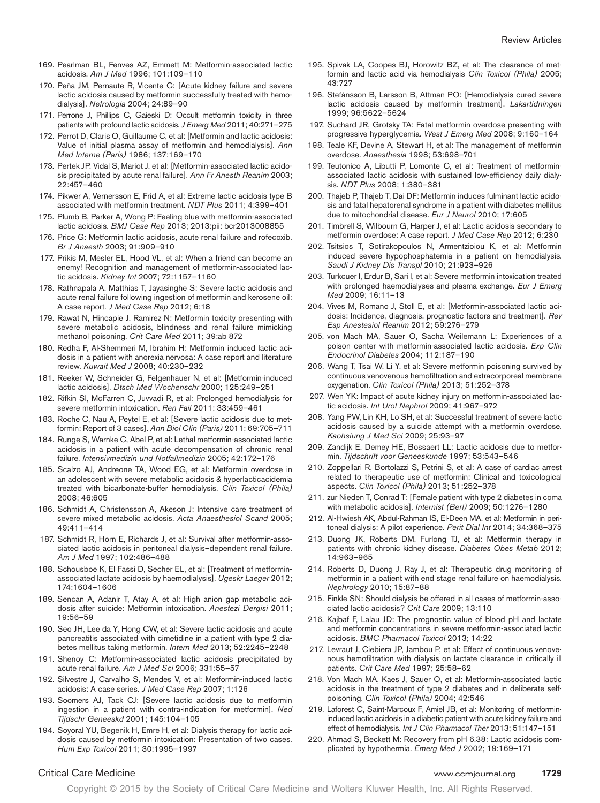- 169. Pearlman BL, Fenves AZ, Emmett M: Metformin-associated lactic acidosis. *Am J Med* 1996; 101:109–110
- 170. Peña JM, Pernaute R, Vicente C: [Acute kidney failure and severe lactic acidosis caused by metformin successfully treated with hemodialysis]. *Nefrologia* 2004; 24:89–90
- 171. Perrone J, Phillips C, Gaieski D: Occult metformin toxicity in three patients with profound lactic acidosis. *J Emerg Med* 2011; 40:271–275
- 172. Perrot D, Claris O, Guillaume C, et al: [Metformin and lactic acidosis: Value of initial plasma assay of metformin and hemodialysis]. *Ann Med Interne (Paris)* 1986; 137:169–170
- 173. Pertek JP, Vidal S, Mariot J, et al: [Metformin-associated lactic acidosis precipitated by acute renal failure]. *Ann Fr Anesth Reanim* 2003; 22:457–460
- 174. Pikwer A, Vernersson E, Frid A, et al: Extreme lactic acidosis type B associated with metformin treatment. *NDT Plus* 2011; 4:399–401
- 175. Plumb B, Parker A, Wong P: Feeling blue with metformin-associated lactic acidosis. *BMJ Case Rep* 2013; 2013:pii: bcr2013008855
- 176. Price G: Metformin lactic acidosis, acute renal failure and rofecoxib. *Br J Anaesth* 2003; 91:909–910
- 177. Prikis M, Mesler EL, Hood VL, et al: When a friend can become an enemy! Recognition and management of metformin-associated lactic acidosis. *Kidney Int* 2007; 72:1157–1160
- 178. Rathnapala A, Matthias T, Jayasinghe S: Severe lactic acidosis and acute renal failure following ingestion of metformin and kerosene oil: A case report. *J Med Case Rep* 2012; 6:18
- 179. Rawat N, Hincapie J, Ramirez N: Metformin toxicity presenting with severe metabolic acidosis, blindness and renal failure mimicking methanol poisoning. *Crit Care Med* 2011; 39:ab 872
- 180. Redha F, Al-Shemmeri M, Ibrahim H: Metformin induced lactic acidosis in a patient with anorexia nervosa: A case report and literature review. *Kuwait Med J* 2008; 40:230–232
- 181. Reeker W, Schneider G, Felgenhauer N, et al: [Metformin-induced lactic acidosis]. *Dtsch Med Wochenschr* 2000; 125:249–251
- 182. Rifkin SI, McFarren C, Juvvadi R, et al: Prolonged hemodialysis for severe metformin intoxication. *Ren Fail* 2011; 33:459–461
- 183. Roche C, Nau A, Peytel E, et al: [Severe lactic acidosis due to metformin: Report of 3 cases]. *Ann Biol Clin (Paris)* 2011; 69:705–711
- 184. Runge S, Warnke C, Abel P, et al: Lethal metformin-associated lactic acidosis in a patient with acute decompensation of chronic renal failure. *Intensivmedizin und Notfallmedizin* 2005; 42:172–176
- 185. Scalzo AJ, Andreone TA, Wood EG, et al: Metformin overdose in an adolescent with severe metabolic acidosis & hyperlacticacidemia treated with bicarbonate-buffer hemodialysis. *Clin Toxicol (Phila)* 2008; 46:605
- 186. Schmidt A, Christensson A, Akeson J: Intensive care treatment of severe mixed metabolic acidosis. *Acta Anaesthesiol Scand* 2005; 49:411–414
- 187. Schmidt R, Horn E, Richards J, et al: Survival after metformin-associated lactic acidosis in peritoneal dialysis–dependent renal failure. *Am J Med* 1997; 102:486–488
- 188. Schousboe K, El Fassi D, Secher EL, et al: [Treatment of metforminassociated lactate acidosis by haemodialysis]. *Ugeskr Laeger* 2012; 174:1604–1606
- 189. Sencan A, Adanir T, Atay A, et al: High anion gap metabolic acidosis after suicide: Metformin intoxication. *Anestezi Dergisi* 2011; 19:56–59
- 190. Seo JH, Lee da Y, Hong CW, et al: Severe lactic acidosis and acute pancreatitis associated with cimetidine in a patient with type 2 diabetes mellitus taking metformin. *Intern Med* 2013; 52:2245–2248
- 191. Shenoy C: Metformin-associated lactic acidosis precipitated by acute renal failure. *Am J Med Sci* 2006; 331:55–57
- 192. Silvestre J, Carvalho S, Mendes V, et al: Metformin-induced lactic acidosis: A case series. *J Med Case Rep* 2007; 1:126
- 193. Soomers AJ, Tack CJ: [Severe lactic acidosis due to metformin ingestion in a patient with contra-indication for metformin]. *Ned Tijdschr Geneeskd* 2001; 145:104–105
- 194. Soyoral YU, Begenik H, Emre H, et al: Dialysis therapy for lactic acidosis caused by metformin intoxication: Presentation of two cases. *Hum Exp Toxicol* 2011; 30:1995–1997
- 195. Spivak LA, Coopes BJ, Horowitz BZ, et al: The clearance of metformin and lactic acid via hemodialysis *Clin Toxicol (Phila)* 2005; 43:727
- 196. Stefánsson B, Larsson B, Attman PO: [Hemodialysis cured severe lactic acidosis caused by metformin treatment]. *Lakartidningen* 1999; 96:5622–5624
- 197. Suchard JR, Grotsky TA: Fatal metformin overdose presenting with progressive hyperglycemia. *West J Emerg Med* 2008; 9:160–164
- 198. Teale KF, Devine A, Stewart H, et al: The management of metformin overdose. *Anaesthesia* 1998; 53:698–701
- 199. Teutonico A, Libutti P, Lomonte C, et al: Treatment of metforminassociated lactic acidosis with sustained low-efficiency daily dialysis. *NDT Plus* 2008; 1:380–381
- 200. Thajeb P, Thajeb T, Dai DF: Metformin induces fulminant lactic acidosis and fatal hepatorenal syndrome in a patient with diabetes mellitus due to mitochondrial disease. *Eur J Neurol* 2010; 17:605
- 201. Timbrell S, Wilbourn G, Harper J, et al: Lactic acidosis secondary to metformin overdose: A case report. *J Med Case Rep* 2012; 6:230
- 202. Tsitsios T, Sotirakopoulos N, Armentzioiou K, et al: Metformin induced severe hypophosphatemia in a patient on hemodialysis. *Saudi J Kidney Dis Transpl* 2010; 21:923–926
- 203. Turkcuer I, Erdur B, Sari I, et al: Severe metformin intoxication treated with prolonged haemodialyses and plasma exchange. *Eur J Emerg Med* 2009; 16:11–13
- 204. Vives M, Romano J, Stoll E, et al: [Metformin-associated lactic acidosis: Incidence, diagnosis, prognostic factors and treatment]. *Rev Esp Anestesiol Reanim* 2012; 59:276–279
- 205. von Mach MA, Sauer O, Sacha Weilemann L: Experiences of a poison center with metformin-associated lactic acidosis. *Exp Clin Endocrinol Diabetes* 2004; 112:187–190
- 206. Wang T, Tsai W, Li Y, et al: Severe metformin poisoning survived by continuous venovenous hemofiltration and extracorporeal membrane oxygenation. *Clin Toxicol (Phila)* 2013; 51:252–378
- 207. Wen YK: Impact of acute kidney injury on metformin-associated lactic acidosis. *Int Urol Nephrol* 2009; 41:967–972
- 208. Yang PW, Lin KH, Lo SH, et al: Successful treatment of severe lactic acidosis caused by a suicide attempt with a metformin overdose. *Kaohsiung J Med Sci* 2009; 25:93–97
- 209. Zandijk E, Demey HE, Bossaert LL: Lactic acidosis due to metformin. *Tijdschrift voor Geneeskunde* 1997; 53:543–546
- 210. Zoppellari R, Bortolazzi S, Petrini S, et al: A case of cardiac arrest related to therapeutic use of metformin: Clinical and toxicological aspects. *Clin Toxicol (Phila)* 2013; 51:252–378
- 211. zur Nieden T, Conrad T: [Female patient with type 2 diabetes in coma with metabolic acidosis]. *Internist (Berl)* 2009; 50:1276–1280
- 212. Al-Hwiesh AK, Abdul-Rahman IS, El-Deen MA, et al: Metformin in peritoneal dialysis: A pilot experience. *Perit Dial Int* 2014; 34:368–375
- 213. Duong JK, Roberts DM, Furlong TJ, et al: Metformin therapy in patients with chronic kidney disease. *Diabetes Obes Metab* 2012; 14:963–965
- 214. Roberts D, Duong J, Ray J, et al: Therapeutic drug monitoring of metformin in a patient with end stage renal failure on haemodialysis. *Nephrology* 2010; 15:87–88
- 215. Finkle SN: Should dialysis be offered in all cases of metformin-associated lactic acidosis? *Crit Care* 2009; 13:110
- 216. Kajbaf F, Lalau JD: The prognostic value of blood pH and lactate and metformin concentrations in severe metformin-associated lactic acidosis. *BMC Pharmacol Toxicol* 2013; 14:22
- 217. Levraut J, Ciebiera JP, Jambou P, et al: Effect of continuous venovenous hemofiltration with dialysis on lactate clearance in critically ill patients. *Crit Care Med* 1997; 25:58–62
- 218. Von Mach MA, Kaes J, Sauer O, et al: Metformin-associated lactic acidosis in the treatment of type 2 diabetes and in deliberate selfpoisoning. *Clin Toxicol (Phila)* 2004; 42:546
- 219. Laforest C, Saint-Marcoux F, Amiel JB, et al: Monitoring of metformininduced lactic acidosis in a diabetic patient with acute kidney failure and effect of hemodialysis. *Int J Clin Pharmacol Ther* 2013; 51:147–151
- 220. Ahmad S, Beckett M: Recovery from pH 6.38: Lactic acidosis complicated by hypothermia. *Emerg Med J* 2002; 19:169–171

#### Critical Care Medicine www.ccmjournal.org **1729**